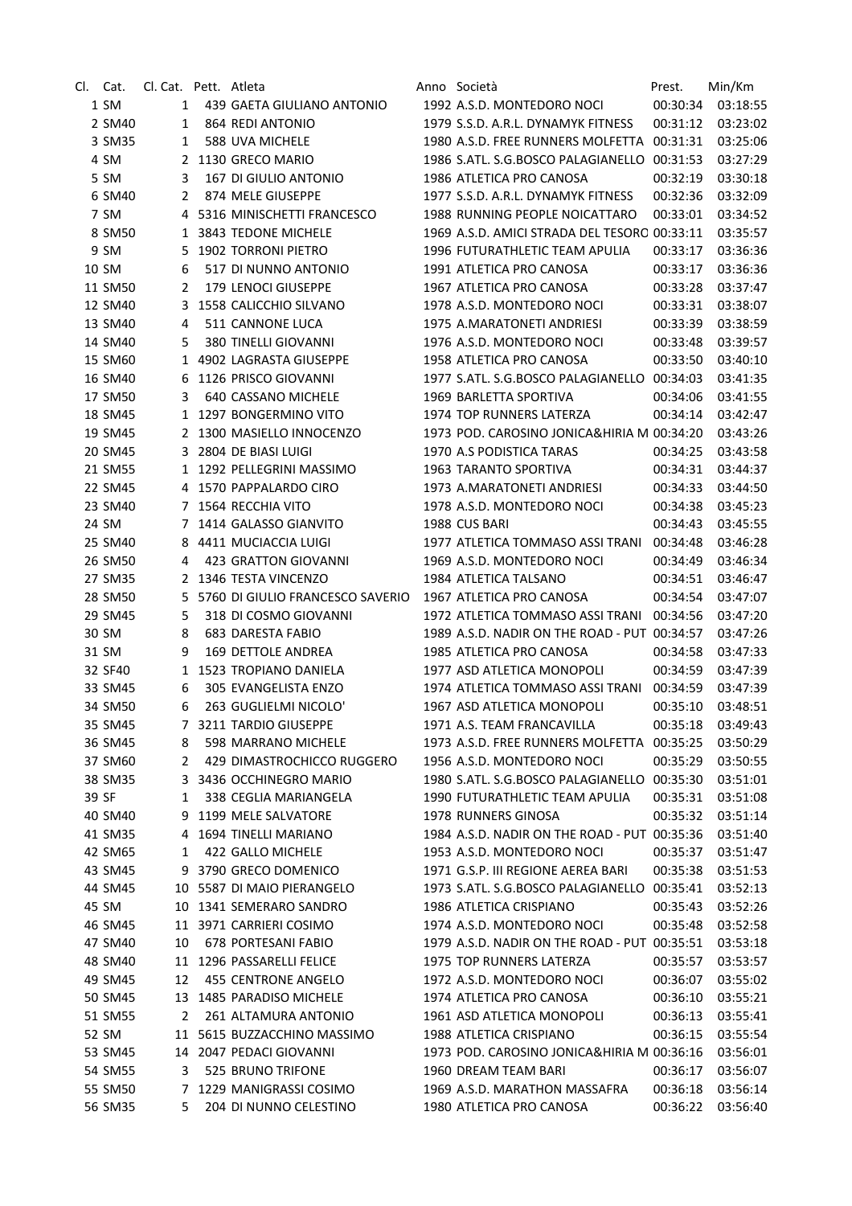| CI. I | Cat.    | Cl. Cat. Pett. Atleta |                                  | Anno Società                                 | Prest.   | Min/Km            |
|-------|---------|-----------------------|----------------------------------|----------------------------------------------|----------|-------------------|
|       | 1 SM    | 1                     | 439 GAETA GIULIANO ANTONIO       | 1992 A.S.D. MONTEDORO NOCI                   | 00:30:34 | 03:18:55          |
|       | 2 SM40  | 1                     | 864 REDI ANTONIO                 | 1979 S.S.D. A.R.L. DYNAMYK FITNESS           | 00:31:12 | 03:23:02          |
|       | 3 SM35  | 1                     | 588 UVA MICHELE                  | 1980 A.S.D. FREE RUNNERS MOLFETTA 00:31:31   |          | 03:25:06          |
|       | 4 SM    |                       | 2 1130 GRECO MARIO               | 1986 S.ATL. S.G.BOSCO PALAGIANELLO 00:31:53  |          | 03:27:29          |
|       | 5 SM    | 3                     | 167 DI GIULIO ANTONIO            | 1986 ATLETICA PRO CANOSA                     | 00:32:19 | 03:30:18          |
|       | 6 SM40  | 2                     | 874 MELE GIUSEPPE                | 1977 S.S.D. A.R.L. DYNAMYK FITNESS           | 00:32:36 | 03:32:09          |
|       | 7 SM    | 4                     | 5316 MINISCHETTI FRANCESCO       | 1988 RUNNING PEOPLE NOICATTARO               | 00:33:01 | 03:34:52          |
|       | 8 SM50  | $\mathbf{1}$          | 3843 TEDONE MICHELE              | 1969 A.S.D. AMICI STRADA DEL TESORO 00:33:11 |          | 03:35:57          |
|       | 9 SM    | 5                     | 1902 TORRONI PIETRO              | 1996 FUTURATHLETIC TEAM APULIA               | 00:33:17 | 03:36:36          |
|       | 10 SM   | 6                     | 517 DI NUNNO ANTONIO             | 1991 ATLETICA PRO CANOSA                     | 00:33:17 | 03:36:36          |
|       | 11 SM50 | 2                     | 179 LENOCI GIUSEPPE              | 1967 ATLETICA PRO CANOSA                     | 00:33:28 | 03:37:47          |
|       | 12 SM40 | 3                     | 1558 CALICCHIO SILVANO           | 1978 A.S.D. MONTEDORO NOCI                   | 00:33:31 | 03:38:07          |
|       | 13 SM40 | 4                     | 511 CANNONE LUCA                 | 1975 A.MARATONETI ANDRIESI                   | 00:33:39 | 03:38:59          |
|       | 14 SM40 | 5                     | 380 TINELLI GIOVANNI             | 1976 A.S.D. MONTEDORO NOCI                   | 00:33:48 | 03:39:57          |
|       | 15 SM60 | 1                     | 4902 LAGRASTA GIUSEPPE           | 1958 ATLETICA PRO CANOSA                     | 00:33:50 | 03:40:10          |
|       | 16 SM40 | 6                     | 1126 PRISCO GIOVANNI             | 1977 S.ATL. S.G.BOSCO PALAGIANELLO 00:34:03  |          | 03:41:35          |
|       | 17 SM50 | 3                     | 640 CASSANO MICHELE              | 1969 BARLETTA SPORTIVA                       | 00:34:06 | 03:41:55          |
|       | 18 SM45 |                       | 1 1297 BONGERMINO VITO           | 1974 TOP RUNNERS LATERZA                     | 00:34:14 | 03:42:47          |
|       | 19 SM45 |                       | 2 1300 MASIELLO INNOCENZO        | 1973 POD. CAROSINO JONICA&HIRIA M 00:34:20   |          | 03:43:26          |
|       | 20 SM45 |                       | 3 2804 DE BIASI LUIGI            | 1970 A.S PODISTICA TARAS                     | 00:34:25 | 03:43:58          |
|       | 21 SM55 |                       | 1 1292 PELLEGRINI MASSIMO        | <b>1963 TARANTO SPORTIVA</b>                 | 00:34:31 | 03:44:37          |
|       | 22 SM45 |                       | 4 1570 PAPPALARDO CIRO           | 1973 A.MARATONETI ANDRIESI                   | 00:34:33 | 03:44:50          |
|       | 23 SM40 |                       | 7 1564 RECCHIA VITO              | 1978 A.S.D. MONTEDORO NOCI                   | 00:34:38 | 03:45:23          |
|       | 24 SM   | $7^{\circ}$           | 1414 GALASSO GIANVITO            | 1988 CUS BARI                                | 00:34:43 | 03:45:55          |
|       | 25 SM40 | 8                     | 4411 MUCIACCIA LUIGI             | 1977 ATLETICA TOMMASO ASSI TRANI             | 00:34:48 | 03:46:28          |
|       | 26 SM50 | 4                     | <b>423 GRATTON GIOVANNI</b>      | 1969 A.S.D. MONTEDORO NOCI                   | 00:34:49 | 03:46:34          |
|       | 27 SM35 | 2                     | 1346 TESTA VINCENZO              | 1984 ATLETICA TALSANO                        | 00:34:51 | 03:46:47          |
|       | 28 SM50 | 5                     | 5760 DI GIULIO FRANCESCO SAVERIO | 1967 ATLETICA PRO CANOSA                     | 00:34:54 | 03:47:07          |
|       | 29 SM45 | 5                     | 318 DI COSMO GIOVANNI            | 1972 ATLETICA TOMMASO ASSI TRANI             | 00:34:56 | 03:47:20          |
|       | 30 SM   | 8                     | <b>683 DARESTA FABIO</b>         | 1989 A.S.D. NADIR ON THE ROAD - PUT 00:34:57 |          | 03:47:26          |
|       | 31 SM   | 9                     | 169 DETTOLE ANDREA               | 1985 ATLETICA PRO CANOSA                     | 00:34:58 | 03:47:33          |
|       | 32 SF40 | 1                     | 1523 TROPIANO DANIELA            | 1977 ASD ATLETICA MONOPOLI                   | 00:34:59 | 03:47:39          |
|       | 33 SM45 | 6                     | 305 EVANGELISTA ENZO             | 1974 ATLETICA TOMMASO ASSI TRANI             | 00:34:59 | 03:47:39          |
|       | 34 SM50 | 6                     | 263 GUGLIELMI NICOLO'            | 1967 ASD ATLETICA MONOPOLI                   | 00:35:10 | 03:48:51          |
|       | 35 SM45 |                       | 7 3211 TARDIO GIUSEPPE           | 1971 A.S. TEAM FRANCAVILLA                   |          | 00:35:18 03:49:43 |
|       | 36 SM45 | 8                     | 598 MARRANO MICHELE              | 1973 A.S.D. FREE RUNNERS MOLFETTA 00:35:25   |          | 03:50:29          |
|       | 37 SM60 | 2                     | 429 DIMASTROCHICCO RUGGERO       | 1956 A.S.D. MONTEDORO NOCI                   | 00:35:29 | 03:50:55          |
|       | 38 SM35 | 3                     | 3436 OCCHINEGRO MARIO            | 1980 S.ATL. S.G.BOSCO PALAGIANELLO 00:35:30  |          | 03:51:01          |
|       | 39 SF   | 1                     | 338 CEGLIA MARIANGELA            | 1990 FUTURATHLETIC TEAM APULIA               | 00:35:31 | 03:51:08          |
|       | 40 SM40 | 9                     | 1199 MELE SALVATORE              | 1978 RUNNERS GINOSA                          | 00:35:32 | 03:51:14          |
|       | 41 SM35 | 4                     | 1694 TINELLI MARIANO             | 1984 A.S.D. NADIR ON THE ROAD - PUT 00:35:36 |          | 03:51:40          |
|       | 42 SM65 | 1                     | 422 GALLO MICHELE                | 1953 A.S.D. MONTEDORO NOCI                   | 00:35:37 | 03:51:47          |
|       | 43 SM45 | 9                     | 3790 GRECO DOMENICO              | 1971 G.S.P. III REGIONE AEREA BARI           | 00:35:38 | 03:51:53          |
|       | 44 SM45 | 10                    | 5587 DI MAIO PIERANGELO          | 1973 S.ATL. S.G.BOSCO PALAGIANELLO 00:35:41  |          | 03:52:13          |
|       | 45 SM   | 10                    | 1341 SEMERARO SANDRO             | 1986 ATLETICA CRISPIANO                      | 00:35:43 | 03:52:26          |
|       | 46 SM45 |                       | 11 3971 CARRIERI COSIMO          | 1974 A.S.D. MONTEDORO NOCI                   | 00:35:48 | 03:52:58          |
|       | 47 SM40 | 10                    | 678 PORTESANI FABIO              | 1979 A.S.D. NADIR ON THE ROAD - PUT 00:35:51 |          | 03:53:18          |
|       | 48 SM40 |                       | 11 1296 PASSARELLI FELICE        | 1975 TOP RUNNERS LATERZA                     | 00:35:57 | 03:53:57          |
|       | 49 SM45 | 12                    | 455 CENTRONE ANGELO              | 1972 A.S.D. MONTEDORO NOCI                   | 00:36:07 | 03:55:02          |
|       | 50 SM45 | 13                    | 1485 PARADISO MICHELE            | 1974 ATLETICA PRO CANOSA                     | 00:36:10 | 03:55:21          |
|       | 51 SM55 | 2                     | 261 ALTAMURA ANTONIO             | 1961 ASD ATLETICA MONOPOLI                   | 00:36:13 | 03:55:41          |
|       | 52 SM   | 11                    | 5615 BUZZACCHINO MASSIMO         | 1988 ATLETICA CRISPIANO                      | 00:36:15 | 03:55:54          |
|       | 53 SM45 |                       | 2047 PEDACI GIOVANNI             | 1973 POD. CAROSINO JONICA&HIRIA M 00:36:16   |          | 03:56:01          |
|       | 54 SM55 | 14<br>3               | 525 BRUNO TRIFONE                | 1960 DREAM TEAM BARI                         | 00:36:17 | 03:56:07          |
|       | 55 SM50 | 7                     | 1229 MANIGRASSI COSIMO           | 1969 A.S.D. MARATHON MASSAFRA                | 00:36:18 | 03:56:14          |
|       | 56 SM35 | 5                     | 204 DI NUNNO CELESTINO           | 1980 ATLETICA PRO CANOSA                     | 00:36:22 | 03:56:40          |
|       |         |                       |                                  |                                              |          |                   |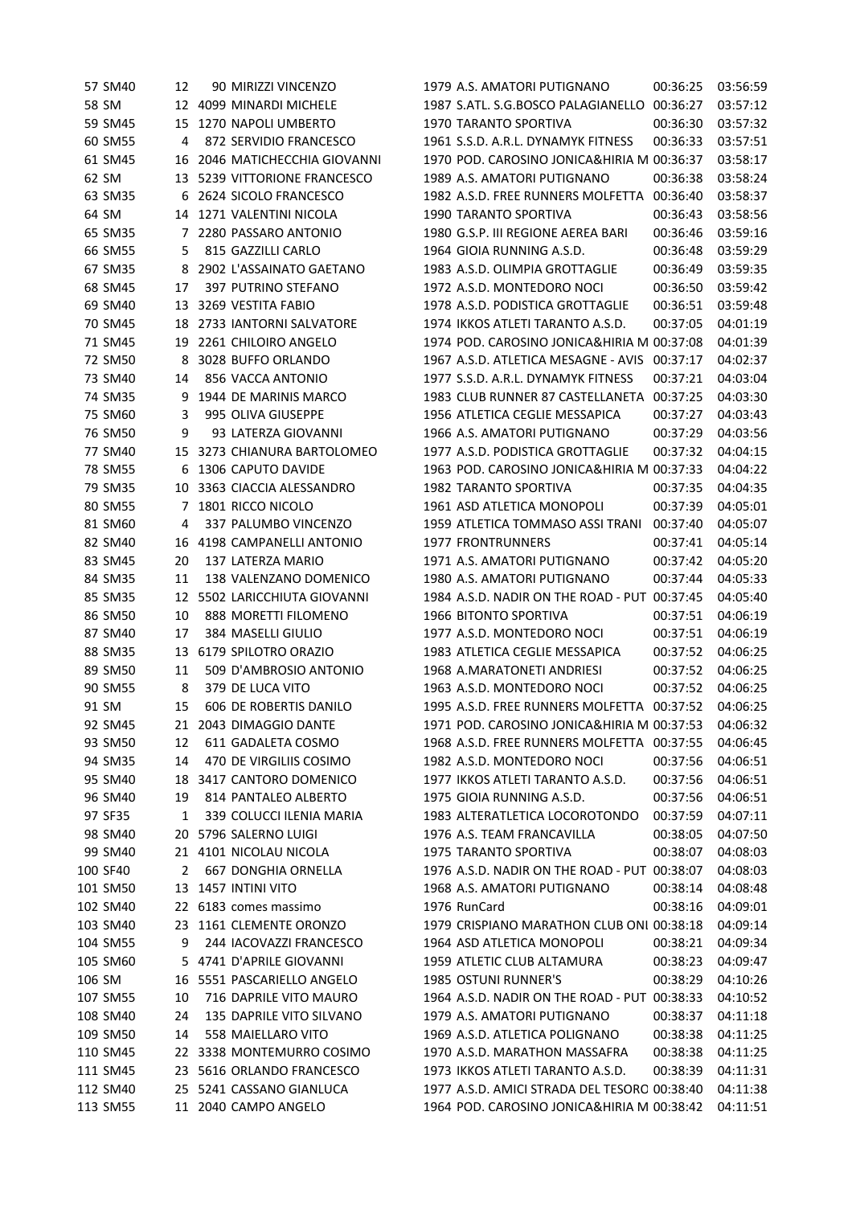| 57 SM40  | 12  | 90 MIRIZZI VINCENZO                        | 1979 A.S. AMATORI PUTIGNANO                  | 00:36:25 | 03:56:59 |
|----------|-----|--------------------------------------------|----------------------------------------------|----------|----------|
| 58 SM    |     | 12 4099 MINARDI MICHELE                    | 1987 S.ATL. S.G.BOSCO PALAGIANELLO 00:36:27  |          | 03:57:12 |
| 59 SM45  | 15  | 1270 NAPOLI UMBERTO                        | 1970 TARANTO SPORTIVA                        | 00:36:30 | 03:57:32 |
| 60 SM55  | 4   | 872 SERVIDIO FRANCESCO                     | 1961 S.S.D. A.R.L. DYNAMYK FITNESS           | 00:36:33 | 03:57:51 |
| 61 SM45  | 16  | 2046 MATICHECCHIA GIOVANNI                 | 1970 POD. CAROSINO JONICA&HIRIA M 00:36:37   |          | 03:58:17 |
| 62 SM    |     | 13 5239 VITTORIONE FRANCESCO               | 1989 A.S. AMATORI PUTIGNANO                  | 00:36:38 | 03:58:24 |
| 63 SM35  |     | 6 2624 SICOLO FRANCESCO                    | 1982 A.S.D. FREE RUNNERS MOLFETTA            | 00:36:40 | 03:58:37 |
| 64 SM    | 14  | 1271 VALENTINI NICOLA                      | <b>1990 TARANTO SPORTIVA</b>                 | 00:36:43 | 03:58:56 |
| 65 SM35  | 7   | 2280 PASSARO ANTONIO                       | 1980 G.S.P. III REGIONE AEREA BARI           | 00:36:46 | 03:59:16 |
| 66 SM55  | 5   | 815 GAZZILLI CARLO                         | 1964 GIOIA RUNNING A.S.D.                    | 00:36:48 | 03:59:29 |
| 67 SM35  | 8   | 2902 L'ASSAINATO GAETANO                   | 1983 A.S.D. OLIMPIA GROTTAGLIE               | 00:36:49 | 03:59:35 |
| 68 SM45  | 17  | 397 PUTRINO STEFANO                        | 1972 A.S.D. MONTEDORO NOCI                   | 00:36:50 | 03:59:42 |
| 69 SM40  | 13  | 3269 VESTITA FABIO                         | 1978 A.S.D. PODISTICA GROTTAGLIE             | 00:36:51 | 03:59:48 |
| 70 SM45  | 18  | 2733 IANTORNI SALVATORE                    | 1974 IKKOS ATLETI TARANTO A.S.D.             | 00:37:05 | 04:01:19 |
| 71 SM45  | 19  | 2261 CHILOIRO ANGELO                       | 1974 POD. CAROSINO JONICA&HIRIA M 00:37:08   |          | 04:01:39 |
| 72 SM50  | 8   | 3028 BUFFO ORLANDO                         | 1967 A.S.D. ATLETICA MESAGNE - AVIS          | 00:37:17 | 04:02:37 |
| 73 SM40  | 14  | 856 VACCA ANTONIO                          | 1977 S.S.D. A.R.L. DYNAMYK FITNESS           | 00:37:21 | 04:03:04 |
| 74 SM35  | 9   | 1944 DE MARINIS MARCO                      | 1983 CLUB RUNNER 87 CASTELLANETA             | 00:37:25 | 04:03:30 |
| 75 SM60  | 3   | 995 OLIVA GIUSEPPE                         | 1956 ATLETICA CEGLIE MESSAPICA               | 00:37:27 | 04:03:43 |
| 76 SM50  | 9   | 93 LATERZA GIOVANNI                        | 1966 A.S. AMATORI PUTIGNANO                  | 00:37:29 | 04:03:56 |
| 77 SM40  | 15  | 3273 CHIANURA BARTOLOMEO                   | 1977 A.S.D. PODISTICA GROTTAGLIE             | 00:37:32 | 04:04:15 |
| 78 SM55  |     | 1306 CAPUTO DAVIDE                         | 1963 POD. CAROSINO JONICA&HIRIA M 00:37:33   |          | 04:04:22 |
| 79 SM35  |     | 10 3363 CIACCIA ALESSANDRO                 | 1982 TARANTO SPORTIVA                        | 00:37:35 | 04:04:35 |
| 80 SM55  | 7   | 1801 RICCO NICOLO                          | 1961 ASD ATLETICA MONOPOLI                   | 00:37:39 | 04:05:01 |
| 81 SM60  | 4   | 337 PALUMBO VINCENZO                       | 1959 ATLETICA TOMMASO ASSI TRANI             | 00:37:40 | 04:05:07 |
| 82 SM40  | 16  | 4198 CAMPANELLI ANTONIO                    | <b>1977 FRONTRUNNERS</b>                     | 00:37:41 | 04:05:14 |
| 83 SM45  | 20  | 137 LATERZA MARIO                          | 1971 A.S. AMATORI PUTIGNANO                  | 00:37:42 | 04:05:20 |
| 84 SM35  | 11  | 138 VALENZANO DOMENICO                     | 1980 A.S. AMATORI PUTIGNANO                  | 00:37:44 | 04:05:33 |
| 85 SM35  | 12  | 5502 LARICCHIUTA GIOVANNI                  | 1984 A.S.D. NADIR ON THE ROAD - PUT 00:37:45 |          | 04:05:40 |
| 86 SM50  | 10  | 888 MORETTI FILOMENO                       | 1966 BITONTO SPORTIVA                        | 00:37:51 | 04:06:19 |
| 87 SM40  | 17  | 384 MASELLI GIULIO                         | 1977 A.S.D. MONTEDORO NOCI                   | 00:37:51 | 04:06:19 |
| 88 SM35  | 13  | 6179 SPILOTRO ORAZIO                       | 1983 ATLETICA CEGLIE MESSAPICA               | 00:37:52 | 04:06:25 |
| 89 SM50  | 11  | 509 D'AMBROSIO ANTONIO                     | 1968 A.MARATONETI ANDRIESI                   | 00:37:52 | 04:06:25 |
| 90 SM55  | 8   |                                            | 1963 A.S.D. MONTEDORO NOCI                   | 00:37:52 | 04:06:25 |
| 91 SM    |     | 379 DE LUCA VITO<br>606 DE ROBERTIS DANILO | 1995 A.S.D. FREE RUNNERS MOLFETTA 00:37:52   |          | 04:06:25 |
|          | 15  |                                            | 1971 POD. CAROSINO JONICA&HIRIA M 00:37:53   |          |          |
| 92 SM45  |     | 21 2043 DIMAGGIO DANTE                     |                                              |          | 04:06:32 |
| 93 SM50  | 12  | 611 GADALETA COSMO                         | 1968 A.S.D. FREE RUNNERS MOLFETTA 00:37:55   |          | 04:06:45 |
| 94 SM35  | 14  | 470 DE VIRGILIIS COSIMO                    | 1982 A.S.D. MONTEDORO NOCI                   | 00:37:56 | 04:06:51 |
| 95 SM40  | 18  | 3417 CANTORO DOMENICO                      | 1977 IKKOS ATLETI TARANTO A.S.D.             | 00:37:56 | 04:06:51 |
| 96 SM40  | 19  | 814 PANTALEO ALBERTO                       | 1975 GIOIA RUNNING A.S.D.                    | 00:37:56 | 04:06:51 |
| 97 SF35  | 1   | 339 COLUCCI ILENIA MARIA                   | 1983 ALTERATLETICA LOCOROTONDO               | 00:37:59 | 04:07:11 |
| 98 SM40  | 20  | 5796 SALERNO LUIGI                         | 1976 A.S. TEAM FRANCAVILLA                   | 00:38:05 | 04:07:50 |
| 99 SM40  |     | 21 4101 NICOLAU NICOLA                     | <b>1975 TARANTO SPORTIVA</b>                 | 00:38:07 | 04:08:03 |
| 100 SF40 | 2   | <b>667 DONGHIA ORNELLA</b>                 | 1976 A.S.D. NADIR ON THE ROAD - PUT 00:38:07 |          | 04:08:03 |
| 101 SM50 | 13  | 1457 INTINI VITO                           | 1968 A.S. AMATORI PUTIGNANO                  | 00:38:14 | 04:08:48 |
| 102 SM40 |     | 22 6183 comes massimo                      | 1976 RunCard                                 | 00:38:16 | 04:09:01 |
| 103 SM40 |     | 23 1161 CLEMENTE ORONZO                    | 1979 CRISPIANO MARATHON CLUB ONI 00:38:18    |          | 04:09:14 |
| 104 SM55 | 9   | 244 IACOVAZZI FRANCESCO                    | 1964 ASD ATLETICA MONOPOLI                   | 00:38:21 | 04:09:34 |
| 105 SM60 |     | 5 4741 D'APRILE GIOVANNI                   | 1959 ATLETIC CLUB ALTAMURA                   | 00:38:23 | 04:09:47 |
| 106 SM   |     | 16 5551 PASCARIELLO ANGELO                 | <b>1985 OSTUNI RUNNER'S</b>                  | 00:38:29 | 04:10:26 |
| 107 SM55 | 10  | 716 DAPRILE VITO MAURO                     | 1964 A.S.D. NADIR ON THE ROAD - PUT 00:38:33 |          | 04:10:52 |
| 108 SM40 | 24  | 135 DAPRILE VITO SILVANO                   | 1979 A.S. AMATORI PUTIGNANO                  | 00:38:37 | 04:11:18 |
| 109 SM50 | 14  | 558 MAIELLARO VITO                         | 1969 A.S.D. ATLETICA POLIGNANO               | 00:38:38 | 04:11:25 |
| 110 SM45 |     | 22 3338 MONTEMURRO COSIMO                  | 1970 A.S.D. MARATHON MASSAFRA                | 00:38:38 | 04:11:25 |
| 111 SM45 | 23. | 5616 ORLANDO FRANCESCO                     | 1973 IKKOS ATLETI TARANTO A.S.D.             | 00:38:39 | 04:11:31 |
| 112 SM40 |     | 25 5241 CASSANO GIANLUCA                   | 1977 A.S.D. AMICI STRADA DEL TESORO 00:38:40 |          | 04:11:38 |
| 113 SM55 |     | 11 2040 CAMPO ANGELO                       | 1964 POD. CAROSINO JONICA&HIRIA M 00:38:42   |          | 04:11:51 |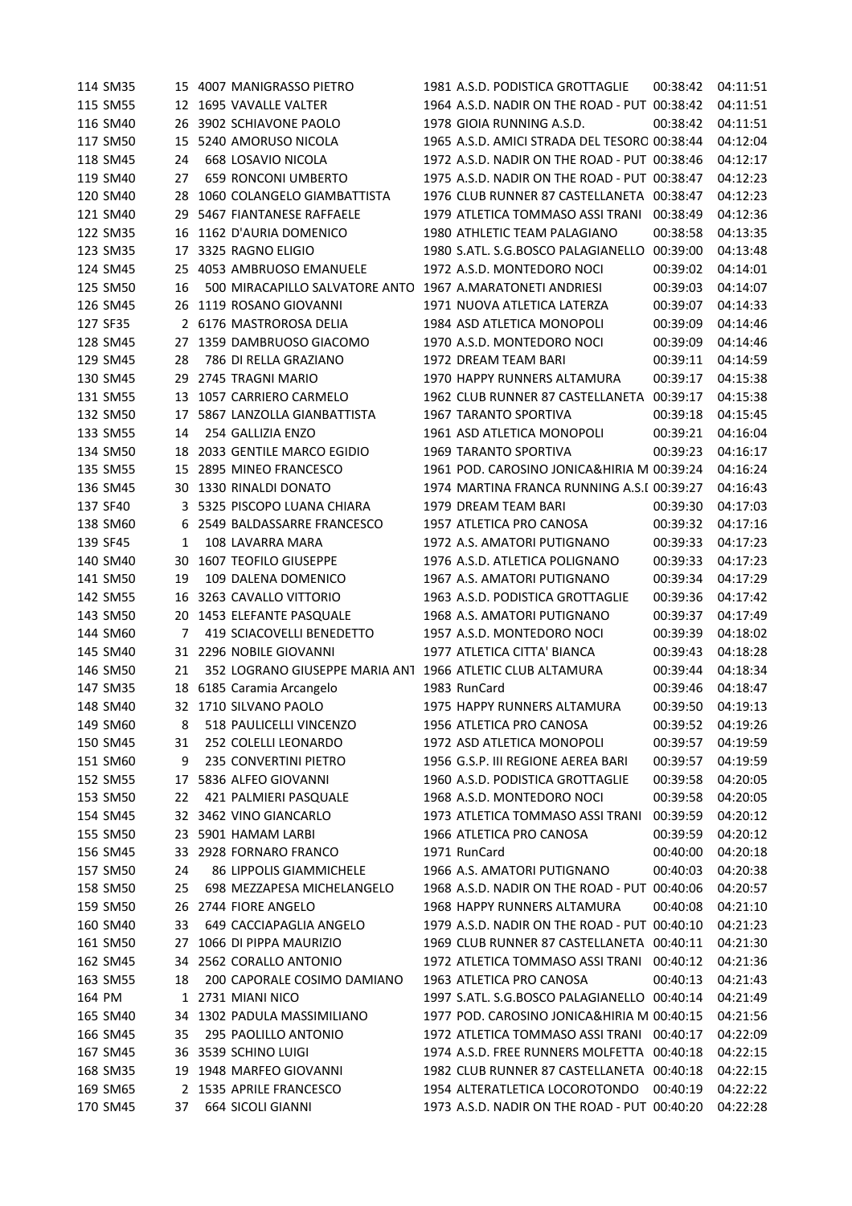| 114 SM35 |    | 15 4007 MANIGRASSO PIETRO                                 | 1981 A.S.D. PODISTICA GROTTAGLIE             | 00:38:42          | 04:11:51 |
|----------|----|-----------------------------------------------------------|----------------------------------------------|-------------------|----------|
| 115 SM55 |    | 12 1695 VAVALLE VALTER                                    | 1964 A.S.D. NADIR ON THE ROAD - PUT 00:38:42 |                   | 04:11:51 |
| 116 SM40 | 26 | 3902 SCHIAVONE PAOLO                                      | 1978 GIOIA RUNNING A.S.D.                    | 00:38:42          | 04:11:51 |
| 117 SM50 |    | 15 5240 AMORUSO NICOLA                                    | 1965 A.S.D. AMICI STRADA DEL TESORO 00:38:44 |                   | 04:12:04 |
| 118 SM45 | 24 | 668 LOSAVIO NICOLA                                        | 1972 A.S.D. NADIR ON THE ROAD - PUT 00:38:46 |                   | 04:12:17 |
| 119 SM40 | 27 | <b>659 RONCONI UMBERTO</b>                                | 1975 A.S.D. NADIR ON THE ROAD - PUT 00:38:47 |                   | 04:12:23 |
| 120 SM40 |    | 28 1060 COLANGELO GIAMBATTISTA                            | 1976 CLUB RUNNER 87 CASTELLANETA 00:38:47    |                   | 04:12:23 |
| 121 SM40 | 29 | 5467 FIANTANESE RAFFAELE                                  | 1979 ATLETICA TOMMASO ASSI TRANI             | 00:38:49          | 04:12:36 |
| 122 SM35 | 16 | 1162 D'AURIA DOMENICO                                     | 1980 ATHLETIC TEAM PALAGIANO                 | 00:38:58          | 04:13:35 |
| 123 SM35 | 17 | 3325 RAGNO ELIGIO                                         | 1980 S.ATL. S.G.BOSCO PALAGIANELLO 00:39:00  |                   | 04:13:48 |
| 124 SM45 | 25 | 4053 AMBRUOSO EMANUELE                                    | 1972 A.S.D. MONTEDORO NOCI                   | 00:39:02          | 04:14:01 |
| 125 SM50 | 16 | 500 MIRACAPILLO SALVATORE ANTO 1967 A.MARATONETI ANDRIESI |                                              | 00:39:03          | 04:14:07 |
| 126 SM45 | 26 | 1119 ROSANO GIOVANNI                                      | 1971 NUOVA ATLETICA LATERZA                  | 00:39:07          | 04:14:33 |
| 127 SF35 | 2  | 6176 MASTROROSA DELIA                                     | 1984 ASD ATLETICA MONOPOLI                   | 00:39:09          | 04:14:46 |
| 128 SM45 | 27 | 1359 DAMBRUOSO GIACOMO                                    | 1970 A.S.D. MONTEDORO NOCI                   | 00:39:09          | 04:14:46 |
| 129 SM45 | 28 | 786 DI RELLA GRAZIANO                                     | 1972 DREAM TEAM BARI                         | 00:39:11          | 04:14:59 |
| 130 SM45 | 29 | 2745 TRAGNI MARIO                                         | 1970 HAPPY RUNNERS ALTAMURA                  | 00:39:17          | 04:15:38 |
| 131 SM55 |    | 13 1057 CARRIERO CARMELO                                  | 1962 CLUB RUNNER 87 CASTELLANETA             | 00:39:17          | 04:15:38 |
| 132 SM50 | 17 | 5867 LANZOLLA GIANBATTISTA                                | 1967 TARANTO SPORTIVA                        | 00:39:18          | 04:15:45 |
| 133 SM55 | 14 | 254 GALLIZIA ENZO                                         | 1961 ASD ATLETICA MONOPOLI                   | 00:39:21          | 04:16:04 |
| 134 SM50 | 18 | 2033 GENTILE MARCO EGIDIO                                 | 1969 TARANTO SPORTIVA                        | 00:39:23          | 04:16:17 |
| 135 SM55 |    | 15 2895 MINEO FRANCESCO                                   | 1961 POD. CAROSINO JONICA&HIRIA M 00:39:24   |                   | 04:16:24 |
| 136 SM45 |    | 30 1330 RINALDI DONATO                                    | 1974 MARTINA FRANCA RUNNING A.S.I 00:39:27   |                   | 04:16:43 |
| 137 SF40 | 3  | 5325 PISCOPO LUANA CHIARA                                 | 1979 DREAM TEAM BARI                         | 00:39:30          | 04:17:03 |
| 138 SM60 | 6  | 2549 BALDASSARRE FRANCESCO                                | 1957 ATLETICA PRO CANOSA                     | 00:39:32          | 04:17:16 |
| 139 SF45 | 1  | 108 LAVARRA MARA                                          | 1972 A.S. AMATORI PUTIGNANO                  | 00:39:33          | 04:17:23 |
| 140 SM40 | 30 | 1607 TEOFILO GIUSEPPE                                     | 1976 A.S.D. ATLETICA POLIGNANO               | 00:39:33          | 04:17:23 |
| 141 SM50 | 19 | 109 DALENA DOMENICO                                       | 1967 A.S. AMATORI PUTIGNANO                  | 00:39:34          | 04:17:29 |
| 142 SM55 | 16 | 3263 CAVALLO VITTORIO                                     | 1963 A.S.D. PODISTICA GROTTAGLIE             | 00:39:36          | 04:17:42 |
| 143 SM50 | 20 | 1453 ELEFANTE PASQUALE                                    | 1968 A.S. AMATORI PUTIGNANO                  | 00:39:37          | 04:17:49 |
| 144 SM60 | 7  | 419 SCIACOVELLI BENEDETTO                                 | 1957 A.S.D. MONTEDORO NOCI                   | 00:39:39          | 04:18:02 |
| 145 SM40 |    | 31 2296 NOBILE GIOVANNI                                   | 1977 ATLETICA CITTA' BIANCA                  | 00:39:43          | 04:18:28 |
| 146 SM50 | 21 | 352 LOGRANO GIUSEPPE MARIA AN1 1966 ATLETIC CLUB ALTAMURA |                                              | 00:39:44          | 04:18:34 |
| 147 SM35 | 18 | 6185 Caramia Arcangelo                                    | 1983 RunCard                                 | 00:39:46          | 04:18:47 |
| 148 SM40 |    | 32 1710 SILVANO PAOLO                                     | 1975 HAPPY RUNNERS ALTAMURA                  | 00:39:50          | 04:19:13 |
| 149 SM60 |    | 8 518 PAULICELLI VINCENZO                                 | 1956 ATLETICA PRO CANOSA                     | 00:39:52 04:19:26 |          |
| 150 SM45 | 31 | 252 COLELLI LEONARDO                                      | 1972 ASD ATLETICA MONOPOLI                   | 00:39:57          | 04:19:59 |
| 151 SM60 | 9  | 235 CONVERTINI PIETRO                                     | 1956 G.S.P. III REGIONE AEREA BARI           | 00:39:57          | 04:19:59 |
| 152 SM55 | 17 | 5836 ALFEO GIOVANNI                                       | 1960 A.S.D. PODISTICA GROTTAGLIE             | 00:39:58          | 04:20:05 |
| 153 SM50 | 22 | 421 PALMIERI PASQUALE                                     | 1968 A.S.D. MONTEDORO NOCI                   | 00:39:58          | 04:20:05 |
| 154 SM45 | 32 | 3462 VINO GIANCARLO                                       | 1973 ATLETICA TOMMASO ASSI TRANI             | 00:39:59          | 04:20:12 |
| 155 SM50 | 23 | 5901 HAMAM LARBI                                          | 1966 ATLETICA PRO CANOSA                     | 00:39:59          | 04:20:12 |
| 156 SM45 | 33 | 2928 FORNARO FRANCO                                       | 1971 RunCard                                 | 00:40:00          | 04:20:18 |
| 157 SM50 | 24 | <b>86 LIPPOLIS GIAMMICHELE</b>                            | 1966 A.S. AMATORI PUTIGNANO                  | 00:40:03          | 04:20:38 |
| 158 SM50 | 25 | 698 MEZZAPESA MICHELANGELO                                | 1968 A.S.D. NADIR ON THE ROAD - PUT 00:40:06 |                   | 04:20:57 |
| 159 SM50 |    | 26 2744 FIORE ANGELO                                      | 1968 HAPPY RUNNERS ALTAMURA                  | 00:40:08          | 04:21:10 |
| 160 SM40 | 33 | 649 CACCIAPAGLIA ANGELO                                   | 1979 A.S.D. NADIR ON THE ROAD - PUT 00:40:10 |                   | 04:21:23 |
| 161 SM50 | 27 | 1066 DI PIPPA MAURIZIO                                    | 1969 CLUB RUNNER 87 CASTELLANETA 00:40:11    |                   | 04:21:30 |
| 162 SM45 | 34 | 2562 CORALLO ANTONIO                                      | 1972 ATLETICA TOMMASO ASSI TRANI 00:40:12    |                   | 04:21:36 |
| 163 SM55 | 18 | 200 CAPORALE COSIMO DAMIANO                               | 1963 ATLETICA PRO CANOSA                     | 00:40:13          | 04:21:43 |
| 164 PM   |    | 1 2731 MIANI NICO                                         | 1997 S.ATL. S.G.BOSCO PALAGIANELLO 00:40:14  |                   | 04:21:49 |
| 165 SM40 | 34 | 1302 PADULA MASSIMILIANO                                  | 1977 POD. CAROSINO JONICA&HIRIA M 00:40:15   |                   | 04:21:56 |
| 166 SM45 | 35 | 295 PAOLILLO ANTONIO                                      | 1972 ATLETICA TOMMASO ASSI TRANI 00:40:17    |                   | 04:22:09 |
| 167 SM45 | 36 | 3539 SCHINO LUIGI                                         | 1974 A.S.D. FREE RUNNERS MOLFETTA 00:40:18   |                   | 04:22:15 |
| 168 SM35 | 19 | 1948 MARFEO GIOVANNI                                      | 1982 CLUB RUNNER 87 CASTELLANETA 00:40:18    |                   | 04:22:15 |
| 169 SM65 |    | 2 1535 APRILE FRANCESCO                                   | 1954 ALTERATLETICA LOCOROTONDO               | 00:40:19          | 04:22:22 |
| 170 SM45 | 37 | 664 SICOLI GIANNI                                         | 1973 A.S.D. NADIR ON THE ROAD - PUT 00:40:20 |                   | 04:22:28 |
|          |    |                                                           |                                              |                   |          |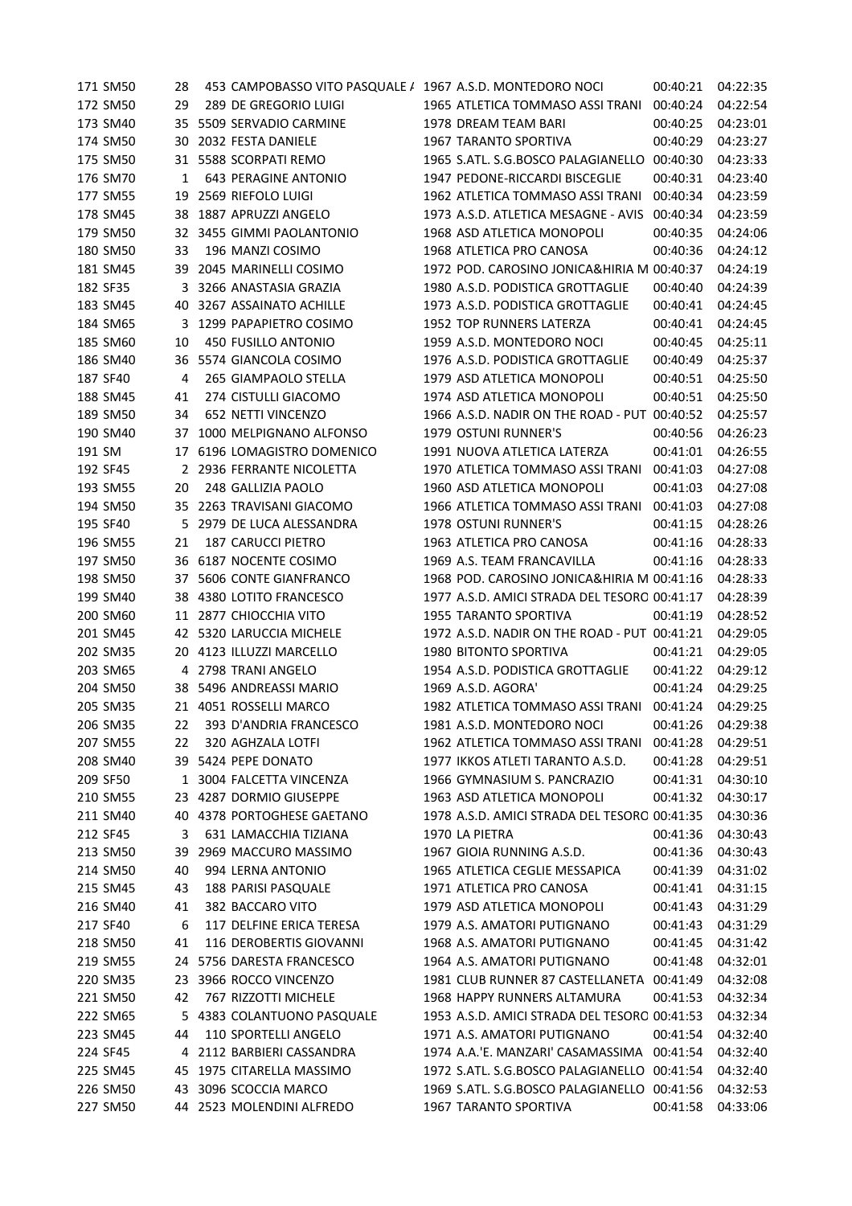|        | 171 SM50 | 28 | 453 CAMPOBASSO VITO PASQUALE / 1967 A.S.D. MONTEDORO NOCI |                                              | 00:40:21 | 04:22:35 |
|--------|----------|----|-----------------------------------------------------------|----------------------------------------------|----------|----------|
|        | 172 SM50 | 29 | 289 DE GREGORIO LUIGI                                     | 1965 ATLETICA TOMMASO ASSI TRANI             | 00:40:24 | 04:22:54 |
|        | 173 SM40 | 35 | 5509 SERVADIO CARMINE                                     | 1978 DREAM TEAM BARI                         | 00:40:25 | 04:23:01 |
|        | 174 SM50 |    | 30 2032 FESTA DANIELE                                     | 1967 TARANTO SPORTIVA                        | 00:40:29 | 04:23:27 |
|        | 175 SM50 |    | 31 5588 SCORPATI REMO                                     | 1965 S.ATL. S.G.BOSCO PALAGIANELLO 00:40:30  |          | 04:23:33 |
|        | 176 SM70 | 1  | <b>643 PERAGINE ANTONIO</b>                               | 1947 PEDONE-RICCARDI BISCEGLIE               | 00:40:31 | 04:23:40 |
|        | 177 SM55 |    | 19 2569 RIEFOLO LUIGI                                     | 1962 ATLETICA TOMMASO ASSI TRANI             | 00:40:34 | 04:23:59 |
|        | 178 SM45 | 38 | 1887 APRUZZI ANGELO                                       | 1973 A.S.D. ATLETICA MESAGNE - AVIS          | 00:40:34 | 04:23:59 |
|        | 179 SM50 |    | 32 3455 GIMMI PAOLANTONIO                                 | 1968 ASD ATLETICA MONOPOLI                   | 00:40:35 | 04:24:06 |
|        | 180 SM50 | 33 | 196 MANZI COSIMO                                          | 1968 ATLETICA PRO CANOSA                     | 00:40:36 | 04:24:12 |
|        | 181 SM45 | 39 | 2045 MARINELLI COSIMO                                     | 1972 POD. CAROSINO JONICA&HIRIA M 00:40:37   |          | 04:24:19 |
|        | 182 SF35 | 3  | 3266 ANASTASIA GRAZIA                                     | 1980 A.S.D. PODISTICA GROTTAGLIE             | 00:40:40 | 04:24:39 |
|        | 183 SM45 | 40 | 3267 ASSAINATO ACHILLE                                    | 1973 A.S.D. PODISTICA GROTTAGLIE             | 00:40:41 | 04:24:45 |
|        | 184 SM65 |    | 1299 PAPAPIETRO COSIMO                                    | 1952 TOP RUNNERS LATERZA                     | 00:40:41 | 04:24:45 |
|        | 185 SM60 | 10 | 450 FUSILLO ANTONIO                                       | 1959 A.S.D. MONTEDORO NOCI                   | 00:40:45 | 04:25:11 |
|        | 186 SM40 | 36 | 5574 GIANCOLA COSIMO                                      | 1976 A.S.D. PODISTICA GROTTAGLIE             | 00:40:49 | 04:25:37 |
|        | 187 SF40 | 4  | 265 GIAMPAOLO STELLA                                      | 1979 ASD ATLETICA MONOPOLI                   | 00:40:51 | 04:25:50 |
|        | 188 SM45 | 41 | 274 CISTULLI GIACOMO                                      | 1974 ASD ATLETICA MONOPOLI                   | 00:40:51 | 04:25:50 |
|        | 189 SM50 | 34 | 652 NETTI VINCENZO                                        | 1966 A.S.D. NADIR ON THE ROAD - PUT 00:40:52 |          | 04:25:57 |
|        | 190 SM40 | 37 | 1000 MELPIGNANO ALFONSO                                   | 1979 OSTUNI RUNNER'S                         | 00:40:56 | 04:26:23 |
|        |          |    |                                                           | 1991 NUOVA ATLETICA LATERZA                  |          |          |
| 191 SM |          |    | 17 6196 LOMAGISTRO DOMENICO                               |                                              | 00:41:01 | 04:26:55 |
|        | 192 SF45 |    | 2 2936 FERRANTE NICOLETTA                                 | 1970 ATLETICA TOMMASO ASSI TRANI             | 00:41:03 | 04:27:08 |
|        | 193 SM55 | 20 | 248 GALLIZIA PAOLO                                        | 1960 ASD ATLETICA MONOPOLI                   | 00:41:03 | 04:27:08 |
|        | 194 SM50 |    | 35 2263 TRAVISANI GIACOMO                                 | 1966 ATLETICA TOMMASO ASSI TRANI             | 00:41:03 | 04:27:08 |
|        | 195 SF40 |    | 5 2979 DE LUCA ALESSANDRA                                 | 1978 OSTUNI RUNNER'S                         | 00:41:15 | 04:28:26 |
|        | 196 SM55 | 21 | <b>187 CARUCCI PIETRO</b>                                 | 1963 ATLETICA PRO CANOSA                     | 00:41:16 | 04:28:33 |
|        | 197 SM50 | 36 | 6187 NOCENTE COSIMO                                       | 1969 A.S. TEAM FRANCAVILLA                   | 00:41:16 | 04:28:33 |
|        | 198 SM50 | 37 | 5606 CONTE GIANFRANCO                                     | 1968 POD. CAROSINO JONICA&HIRIA M 00:41:16   |          | 04:28:33 |
|        | 199 SM40 | 38 | 4380 LOTITO FRANCESCO                                     | 1977 A.S.D. AMICI STRADA DEL TESORO 00:41:17 |          | 04:28:39 |
|        | 200 SM60 |    | 11 2877 CHIOCCHIA VITO                                    | 1955 TARANTO SPORTIVA                        | 00:41:19 | 04:28:52 |
|        | 201 SM45 |    | 42 5320 LARUCCIA MICHELE                                  | 1972 A.S.D. NADIR ON THE ROAD - PUT 00:41:21 |          | 04:29:05 |
|        | 202 SM35 | 20 | 4123 ILLUZZI MARCELLO                                     | 1980 BITONTO SPORTIVA                        | 00:41:21 | 04:29:05 |
|        | 203 SM65 |    | 4 2798 TRANI ANGELO                                       | 1954 A.S.D. PODISTICA GROTTAGLIE             | 00:41:22 | 04:29:12 |
|        | 204 SM50 | 38 | 5496 ANDREASSI MARIO                                      | 1969 A.S.D. AGORA'                           | 00:41:24 | 04:29:25 |
|        | 205 SM35 |    | 21 4051 ROSSELLI MARCO                                    | 1982 ATLETICA TOMMASO ASSI TRANI 00:41:24    |          | 04:29:25 |
|        | 206 SM35 |    | 22 393 D'ANDRIA FRANCESCO                                 | 1981 A.S.D. MONTEDORO NOCI                   | 00:41:26 | 04:29:38 |
|        | 207 SM55 | 22 | 320 AGHZALA LOTFI                                         | 1962 ATLETICA TOMMASO ASSI TRANI             | 00:41:28 | 04:29:51 |
|        | 208 SM40 | 39 | 5424 PEPE DONATO                                          | 1977 IKKOS ATLETI TARANTO A.S.D.             | 00:41:28 | 04:29:51 |
|        | 209 SF50 | 1  | 3004 FALCETTA VINCENZA                                    | 1966 GYMNASIUM S. PANCRAZIO                  | 00:41:31 | 04:30:10 |
|        | 210 SM55 | 23 | 4287 DORMIO GIUSEPPE                                      | 1963 ASD ATLETICA MONOPOLI                   | 00:41:32 | 04:30:17 |
|        | 211 SM40 | 40 | 4378 PORTOGHESE GAETANO                                   | 1978 A.S.D. AMICI STRADA DEL TESORO 00:41:35 |          | 04:30:36 |
|        | 212 SF45 | 3  | 631 LAMACCHIA TIZIANA                                     | 1970 LA PIETRA                               | 00:41:36 | 04:30:43 |
|        | 213 SM50 | 39 | 2969 MACCURO MASSIMO                                      | 1967 GIOIA RUNNING A.S.D.                    | 00:41:36 | 04:30:43 |
|        | 214 SM50 | 40 | 994 LERNA ANTONIO                                         | 1965 ATLETICA CEGLIE MESSAPICA               | 00:41:39 | 04:31:02 |
|        | 215 SM45 | 43 | 188 PARISI PASQUALE                                       | 1971 ATLETICA PRO CANOSA                     | 00:41:41 | 04:31:15 |
|        | 216 SM40 | 41 | 382 BACCARO VITO                                          | 1979 ASD ATLETICA MONOPOLI                   | 00:41:43 | 04:31:29 |
|        | 217 SF40 | 6  | 117 DELFINE ERICA TERESA                                  | 1979 A.S. AMATORI PUTIGNANO                  | 00:41:43 | 04:31:29 |
|        | 218 SM50 | 41 | 116 DEROBERTIS GIOVANNI                                   | 1968 A.S. AMATORI PUTIGNANO                  | 00:41:45 | 04:31:42 |
|        | 219 SM55 | 24 | 5756 DARESTA FRANCESCO                                    | 1964 A.S. AMATORI PUTIGNANO                  | 00:41:48 | 04:32:01 |
|        | 220 SM35 | 23 | 3966 ROCCO VINCENZO                                       | 1981 CLUB RUNNER 87 CASTELLANETA 00:41:49    |          | 04:32:08 |
|        | 221 SM50 | 42 | 767 RIZZOTTI MICHELE                                      | 1968 HAPPY RUNNERS ALTAMURA                  | 00:41:53 | 04:32:34 |
|        | 222 SM65 | 5  | 4383 COLANTUONO PASQUALE                                  | 1953 A.S.D. AMICI STRADA DEL TESORO 00:41:53 |          | 04:32:34 |
|        | 223 SM45 | 44 | 110 SPORTELLI ANGELO                                      | 1971 A.S. AMATORI PUTIGNANO                  | 00:41:54 | 04:32:40 |
|        | 224 SF45 | 4  | 2112 BARBIERI CASSANDRA                                   | 1974 A.A.'E. MANZARI' CASAMASSIMA 00:41:54   |          | 04:32:40 |
|        | 225 SM45 | 45 | 1975 CITARELLA MASSIMO                                    | 1972 S.ATL. S.G.BOSCO PALAGIANELLO 00:41:54  |          | 04:32:40 |
|        | 226 SM50 | 43 | 3096 SCOCCIA MARCO                                        | 1969 S.ATL. S.G.BOSCO PALAGIANELLO 00:41:56  |          | 04:32:53 |
|        |          |    |                                                           |                                              |          |          |
|        | 227 SM50 |    | 44 2523 MOLENDINI ALFREDO                                 | 1967 TARANTO SPORTIVA                        | 00:41:58 | 04:33:06 |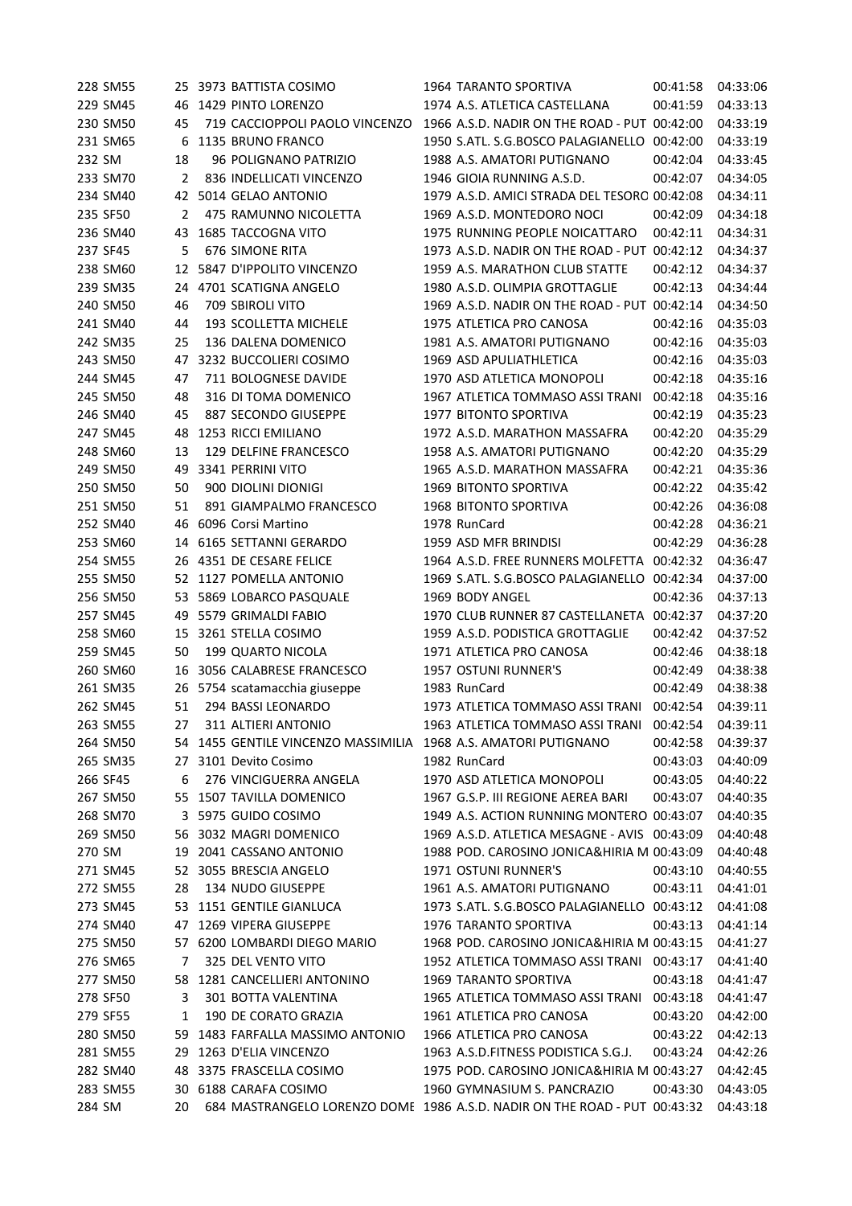|        | 228 SM55 |    | 25 3973 BATTISTA COSIMO                                         | 1964 TARANTO SPORTIVA                                                                      | 00:41:58 | 04:33:06 |
|--------|----------|----|-----------------------------------------------------------------|--------------------------------------------------------------------------------------------|----------|----------|
|        | 229 SM45 | 46 | 1429 PINTO LORENZO                                              | 1974 A.S. ATLETICA CASTELLANA                                                              | 00:41:59 | 04:33:13 |
|        | 230 SM50 | 45 | 719 CACCIOPPOLI PAOLO VINCENZO                                  | 1966 A.S.D. NADIR ON THE ROAD - PUT 00:42:00                                               |          | 04:33:19 |
|        | 231 SM65 | 6  | 1135 BRUNO FRANCO                                               | 1950 S.ATL. S.G.BOSCO PALAGIANELLO 00:42:00                                                |          | 04:33:19 |
| 232 SM |          | 18 | 96 POLIGNANO PATRIZIO                                           | 1988 A.S. AMATORI PUTIGNANO                                                                | 00:42:04 | 04:33:45 |
|        | 233 SM70 | 2  | 836 INDELLICATI VINCENZO                                        | 1946 GIOIA RUNNING A.S.D.                                                                  | 00:42:07 | 04:34:05 |
|        | 234 SM40 |    | 42 5014 GELAO ANTONIO                                           | 1979 A.S.D. AMICI STRADA DEL TESORO 00:42:08                                               |          | 04:34:11 |
|        | 235 SF50 | 2  | 475 RAMUNNO NICOLETTA                                           | 1969 A.S.D. MONTEDORO NOCI                                                                 | 00:42:09 | 04:34:18 |
|        | 236 SM40 | 43 | <b>1685 TACCOGNA VITO</b>                                       | 1975 RUNNING PEOPLE NOICATTARO                                                             | 00:42:11 | 04:34:31 |
|        | 237 SF45 | 5  | 676 SIMONE RITA                                                 | 1973 A.S.D. NADIR ON THE ROAD - PUT 00:42:12                                               |          | 04:34:37 |
|        | 238 SM60 | 12 | 5847 D'IPPOLITO VINCENZO                                        | 1959 A.S. MARATHON CLUB STATTE                                                             | 00:42:12 | 04:34:37 |
|        | 239 SM35 | 24 | 4701 SCATIGNA ANGELO                                            | 1980 A.S.D. OLIMPIA GROTTAGLIE                                                             | 00:42:13 | 04:34:44 |
|        | 240 SM50 | 46 | 709 SBIROLI VITO                                                | 1969 A.S.D. NADIR ON THE ROAD - PUT 00:42:14                                               |          | 04:34:50 |
|        | 241 SM40 | 44 | 193 SCOLLETTA MICHELE                                           | 1975 ATLETICA PRO CANOSA                                                                   | 00:42:16 | 04:35:03 |
|        | 242 SM35 | 25 | 136 DALENA DOMENICO                                             | 1981 A.S. AMATORI PUTIGNANO                                                                | 00:42:16 | 04:35:03 |
|        | 243 SM50 | 47 | 3232 BUCCOLIERI COSIMO                                          | 1969 ASD APULIATHLETICA                                                                    | 00:42:16 | 04:35:03 |
|        | 244 SM45 | 47 | 711 BOLOGNESE DAVIDE                                            | 1970 ASD ATLETICA MONOPOLI                                                                 | 00:42:18 | 04:35:16 |
|        | 245 SM50 | 48 | 316 DI TOMA DOMENICO                                            | 1967 ATLETICA TOMMASO ASSI TRANI                                                           | 00:42:18 | 04:35:16 |
|        | 246 SM40 | 45 | 887 SECONDO GIUSEPPE                                            | 1977 BITONTO SPORTIVA                                                                      | 00:42:19 | 04:35:23 |
|        | 247 SM45 | 48 | 1253 RICCI EMILIANO                                             | 1972 A.S.D. MARATHON MASSAFRA                                                              | 00:42:20 | 04:35:29 |
|        | 248 SM60 | 13 | 129 DELFINE FRANCESCO                                           | 1958 A.S. AMATORI PUTIGNANO                                                                | 00:42:20 | 04:35:29 |
|        | 249 SM50 | 49 | 3341 PERRINI VITO                                               | 1965 A.S.D. MARATHON MASSAFRA                                                              | 00:42:21 | 04:35:36 |
|        | 250 SM50 | 50 | 900 DIOLINI DIONIGI                                             | 1969 BITONTO SPORTIVA                                                                      | 00:42:22 | 04:35:42 |
|        | 251 SM50 | 51 | 891 GIAMPALMO FRANCESCO                                         | <b>1968 BITONTO SPORTIVA</b>                                                               | 00:42:26 | 04:36:08 |
|        | 252 SM40 | 46 | 6096 Corsi Martino                                              | 1978 RunCard                                                                               | 00:42:28 | 04:36:21 |
|        | 253 SM60 | 14 | 6165 SETTANNI GERARDO                                           | 1959 ASD MFR BRINDISI                                                                      | 00:42:29 | 04:36:28 |
|        | 254 SM55 | 26 | 4351 DE CESARE FELICE                                           | 1964 A.S.D. FREE RUNNERS MOLFETTA 00:42:32                                                 |          | 04:36:47 |
|        | 255 SM50 |    | 52 1127 POMELLA ANTONIO                                         | 1969 S.ATL. S.G.BOSCO PALAGIANELLO 00:42:34                                                |          | 04:37:00 |
|        | 256 SM50 | 53 | 5869 LOBARCO PASQUALE                                           | 1969 BODY ANGEL                                                                            | 00:42:36 | 04:37:13 |
|        | 257 SM45 | 49 | 5579 GRIMALDI FABIO                                             | 1970 CLUB RUNNER 87 CASTELLANETA 00:42:37                                                  |          | 04:37:20 |
|        | 258 SM60 | 15 | 3261 STELLA COSIMO                                              | 1959 A.S.D. PODISTICA GROTTAGLIE                                                           | 00:42:42 | 04:37:52 |
|        | 259 SM45 | 50 | 199 QUARTO NICOLA                                               | 1971 ATLETICA PRO CANOSA                                                                   | 00:42:46 | 04:38:18 |
|        | 260 SM60 | 16 | 3056 CALABRESE FRANCESCO                                        | 1957 OSTUNI RUNNER'S                                                                       | 00:42:49 | 04:38:38 |
|        | 261 SM35 |    | 26 5754 scatamacchia giuseppe                                   | 1983 RunCard                                                                               | 00:42:49 | 04:38:38 |
|        | 262 SM45 | 51 | 294 BASSI LEONARDO                                              | 1973 ATLETICA TOMMASO ASSI TRANI 00:42:54                                                  |          | 04:39:11 |
|        | 263 SM55 |    | 27 311 ALTIERI ANTONIO                                          | 1963 ATLETICA TOMMASO ASSI TRANI 00:42:54 04:39:11                                         |          |          |
|        | 264 SM50 |    | 54 1455 GENTILE VINCENZO MASSIMILIA 1968 A.S. AMATORI PUTIGNANO |                                                                                            | 00:42:58 | 04:39:37 |
|        | 265 SM35 |    | 27 3101 Devito Cosimo                                           | 1982 RunCard                                                                               | 00:43:03 | 04:40:09 |
|        | 266 SF45 | 6  | 276 VINCIGUERRA ANGELA                                          | 1970 ASD ATLETICA MONOPOLI                                                                 | 00:43:05 | 04:40:22 |
|        | 267 SM50 |    | 55 1507 TAVILLA DOMENICO                                        | 1967 G.S.P. III REGIONE AEREA BARI                                                         | 00:43:07 | 04:40:35 |
|        | 268 SM70 |    | 3 5975 GUIDO COSIMO                                             | 1949 A.S. ACTION RUNNING MONTERO 00:43:07                                                  |          | 04:40:35 |
|        | 269 SM50 |    | 56 3032 MAGRI DOMENICO                                          | 1969 A.S.D. ATLETICA MESAGNE - AVIS 00:43:09                                               |          | 04:40:48 |
| 270 SM |          | 19 | 2041 CASSANO ANTONIO                                            | 1988 POD. CAROSINO JONICA&HIRIA M 00:43:09                                                 |          | 04:40:48 |
|        | 271 SM45 |    | 52 3055 BRESCIA ANGELO                                          | 1971 OSTUNI RUNNER'S                                                                       | 00:43:10 | 04:40:55 |
|        | 272 SM55 | 28 | 134 NUDO GIUSEPPE                                               | 1961 A.S. AMATORI PUTIGNANO                                                                | 00:43:11 | 04:41:01 |
|        | 273 SM45 |    | 53 1151 GENTILE GIANLUCA                                        | 1973 S.ATL. S.G.BOSCO PALAGIANELLO 00:43:12                                                |          | 04:41:08 |
|        | 274 SM40 |    | 47 1269 VIPERA GIUSEPPE                                         | 1976 TARANTO SPORTIVA                                                                      | 00:43:13 | 04:41:14 |
|        | 275 SM50 |    | 57 6200 LOMBARDI DIEGO MARIO                                    | 1968 POD. CAROSINO JONICA&HIRIA M 00:43:15                                                 |          | 04:41:27 |
|        | 276 SM65 | 7  | 325 DEL VENTO VITO                                              | 1952 ATLETICA TOMMASO ASSI TRANI 00:43:17                                                  |          | 04:41:40 |
|        | 277 SM50 |    | 58 1281 CANCELLIERI ANTONINO                                    | 1969 TARANTO SPORTIVA                                                                      | 00:43:18 | 04:41:47 |
|        |          |    | 301 BOTTA VALENTINA                                             |                                                                                            |          |          |
|        | 278 SF50 | 3  | 190 DE CORATO GRAZIA                                            | 1965 ATLETICA TOMMASO ASSI TRANI 00:43:18<br>1961 ATLETICA PRO CANOSA                      |          | 04:41:47 |
|        | 279 SF55 | 1  |                                                                 |                                                                                            | 00:43:20 | 04:42:00 |
|        | 280 SM50 |    | 59 1483 FARFALLA MASSIMO ANTONIO                                | 1966 ATLETICA PRO CANOSA                                                                   | 00:43:22 | 04:42:13 |
|        | 281 SM55 | 29 | 1263 D'ELIA VINCENZO<br>3375 FRASCELLA COSIMO                   | 1963 A.S.D.FITNESS PODISTICA S.G.J. 00:43:24<br>1975 POD. CAROSINO JONICA&HIRIA M 00:43:27 |          | 04:42:26 |
|        | 282 SM40 | 48 |                                                                 |                                                                                            |          | 04:42:45 |
|        | 283 SM55 |    | 30 6188 CARAFA COSIMO                                           | 1960 GYMNASIUM S. PANCRAZIO                                                                | 00:43:30 | 04:43:05 |
| 284 SM |          | 20 |                                                                 | 684 MASTRANGELO LORENZO DOME 1986 A.S.D. NADIR ON THE ROAD - PUT 00:43:32                  |          | 04:43:18 |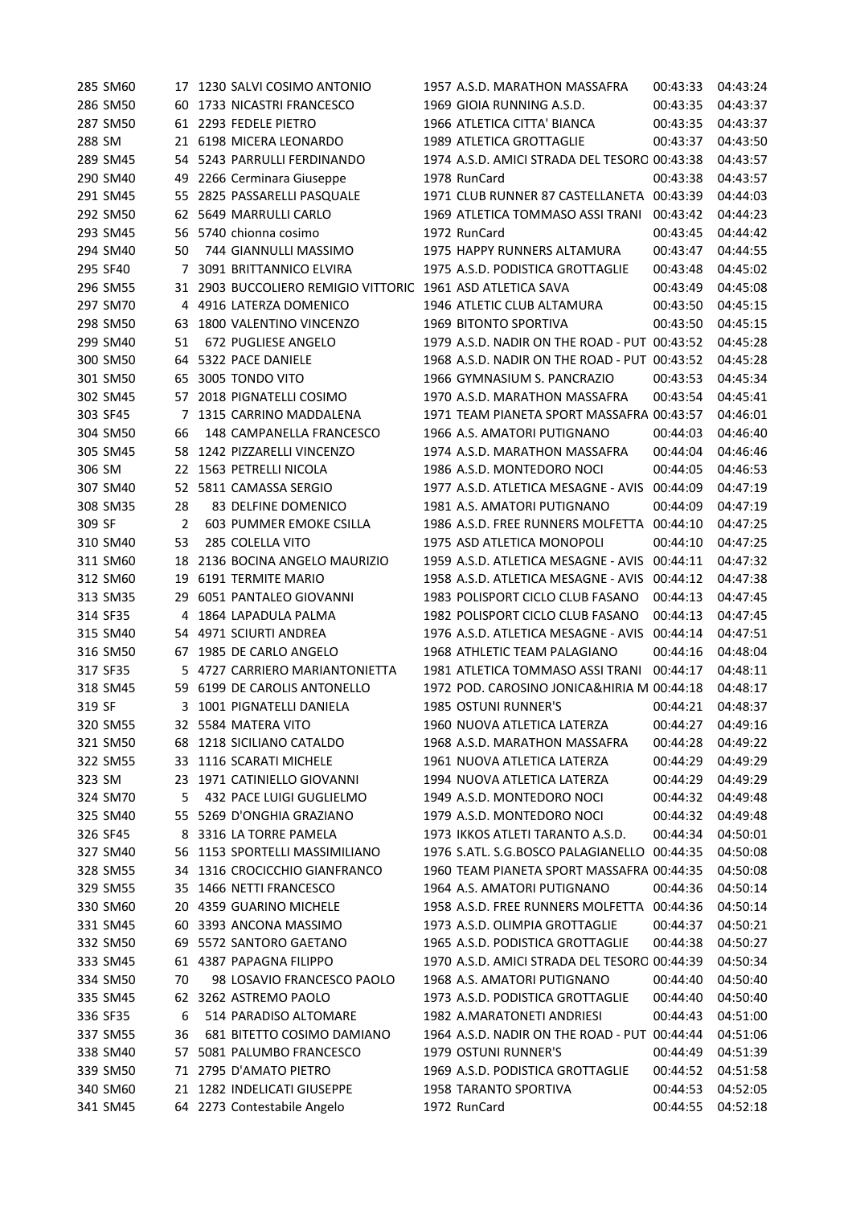|        | 285 SM60 |                | 17 1230 SALVI COSIMO ANTONIO                               | 1957 A.S.D. MARATHON MASSAFRA                | 00:43:33          | 04:43:24 |
|--------|----------|----------------|------------------------------------------------------------|----------------------------------------------|-------------------|----------|
|        | 286 SM50 |                | 60 1733 NICASTRI FRANCESCO                                 | 1969 GIOIA RUNNING A.S.D.                    | 00:43:35          | 04:43:37 |
|        | 287 SM50 |                | 61 2293 FEDELE PIETRO                                      | 1966 ATLETICA CITTA' BIANCA                  | 00:43:35          | 04:43:37 |
| 288 SM |          |                | 21 6198 MICERA LEONARDO                                    | 1989 ATLETICA GROTTAGLIE                     | 00:43:37          | 04:43:50 |
|        | 289 SM45 |                | 54 5243 PARRULLI FERDINANDO                                | 1974 A.S.D. AMICI STRADA DEL TESORO 00:43:38 |                   | 04:43:57 |
|        | 290 SM40 | 49             | 2266 Cerminara Giuseppe                                    | 1978 RunCard                                 | 00:43:38          | 04:43:57 |
|        | 291 SM45 |                | 55 2825 PASSARELLI PASQUALE                                | 1971 CLUB RUNNER 87 CASTELLANETA 00:43:39    |                   | 04:44:03 |
|        | 292 SM50 |                | 62 5649 MARRULLI CARLO                                     | 1969 ATLETICA TOMMASO ASSI TRANI             | 00:43:42          | 04:44:23 |
|        | 293 SM45 |                | 56 5740 chionna cosimo                                     | 1972 RunCard                                 | 00:43:45          | 04:44:42 |
|        | 294 SM40 | 50             | 744 GIANNULLI MASSIMO                                      | 1975 HAPPY RUNNERS ALTAMURA                  | 00:43:47          | 04:44:55 |
|        | 295 SF40 | 7              | 3091 BRITTANNICO ELVIRA                                    | 1975 A.S.D. PODISTICA GROTTAGLIE             | 00:43:48          | 04:45:02 |
|        | 296 SM55 |                | 31 2903 BUCCOLIERO REMIGIO VITTORIC 1961 ASD ATLETICA SAVA |                                              | 00:43:49          | 04:45:08 |
|        | 297 SM70 | 4              | 4916 LATERZA DOMENICO                                      | 1946 ATLETIC CLUB ALTAMURA                   | 00:43:50          | 04:45:15 |
|        | 298 SM50 | 63             | 1800 VALENTINO VINCENZO                                    | 1969 BITONTO SPORTIVA                        | 00:43:50          | 04:45:15 |
|        | 299 SM40 | 51             | 672 PUGLIESE ANGELO                                        | 1979 A.S.D. NADIR ON THE ROAD - PUT 00:43:52 |                   | 04:45:28 |
|        | 300 SM50 | 64             | 5322 PACE DANIELE                                          | 1968 A.S.D. NADIR ON THE ROAD - PUT 00:43:52 |                   | 04:45:28 |
|        | 301 SM50 | 65             | 3005 TONDO VITO                                            | 1966 GYMNASIUM S. PANCRAZIO                  | 00:43:53          | 04:45:34 |
|        | 302 SM45 |                | 57 2018 PIGNATELLI COSIMO                                  | 1970 A.S.D. MARATHON MASSAFRA                | 00:43:54          | 04:45:41 |
|        | 303 SF45 | 7              | 1315 CARRINO MADDALENA                                     | 1971 TEAM PIANETA SPORT MASSAFRA 00:43:57    |                   | 04:46:01 |
|        | 304 SM50 | 66             | 148 CAMPANELLA FRANCESCO                                   | 1966 A.S. AMATORI PUTIGNANO                  | 00:44:03          | 04:46:40 |
|        | 305 SM45 | 58             | 1242 PIZZARELLI VINCENZO                                   | 1974 A.S.D. MARATHON MASSAFRA                | 00:44:04          | 04:46:46 |
| 306 SM |          |                | 22 1563 PETRELLI NICOLA                                    | 1986 A.S.D. MONTEDORO NOCI                   | 00:44:05          | 04:46:53 |
|        | 307 SM40 |                | 52 5811 CAMASSA SERGIO                                     | 1977 A.S.D. ATLETICA MESAGNE - AVIS          |                   | 04:47:19 |
|        |          |                | 83 DELFINE DOMENICO                                        | 1981 A.S. AMATORI PUTIGNANO                  | 00:44:09          | 04:47:19 |
|        | 308 SM35 | 28             |                                                            |                                              | 00:44:09          |          |
| 309 SF |          | $\overline{2}$ | 603 PUMMER EMOKE CSILLA                                    | 1986 A.S.D. FREE RUNNERS MOLFETTA 00:44:10   |                   | 04:47:25 |
|        | 310 SM40 | 53             | 285 COLELLA VITO                                           | 1975 ASD ATLETICA MONOPOLI                   | 00:44:10          | 04:47:25 |
|        | 311 SM60 | 18             | 2136 BOCINA ANGELO MAURIZIO                                | 1959 A.S.D. ATLETICA MESAGNE - AVIS          | 00:44:11          | 04:47:32 |
|        | 312 SM60 | 19             | 6191 TERMITE MARIO                                         | 1958 A.S.D. ATLETICA MESAGNE - AVIS          | 00:44:12          | 04:47:38 |
|        | 313 SM35 | 29             | 6051 PANTALEO GIOVANNI                                     | 1983 POLISPORT CICLO CLUB FASANO             | 00:44:13          | 04:47:45 |
|        | 314 SF35 | 4              | 1864 LAPADULA PALMA                                        | 1982 POLISPORT CICLO CLUB FASANO             | 00:44:13          | 04:47:45 |
|        | 315 SM40 | 54             | 4971 SCIURTI ANDREA                                        | 1976 A.S.D. ATLETICA MESAGNE - AVIS          | 00:44:14          | 04:47:51 |
|        | 316 SM50 |                | 67 1985 DE CARLO ANGELO                                    | 1968 ATHLETIC TEAM PALAGIANO                 | 00:44:16          | 04:48:04 |
|        | 317 SF35 |                | 5 4727 CARRIERO MARIANTONIETTA                             | 1981 ATLETICA TOMMASO ASSI TRANI             | 00:44:17          | 04:48:11 |
|        | 318 SM45 |                | 59 6199 DE CAROLIS ANTONELLO                               | 1972 POD. CAROSINO JONICA&HIRIA M 00:44:18   |                   | 04:48:17 |
| 319 SF |          |                | 3 1001 PIGNATELLI DANIELA                                  | <b>1985 OSTUNI RUNNER'S</b>                  | 00:44:21          | 04:48:37 |
|        | 320 SM55 |                | 32 5584 MATERA VITO                                        | 1960 NUOVA ATLETICA LATERZA                  | 00:44:27 04:49:16 |          |
|        | 321 SM50 |                | 68 1218 SICILIANO CATALDO                                  | 1968 A.S.D. MARATHON MASSAFRA                | 00:44:28          | 04:49:22 |
|        | 322 SM55 |                | 33 1116 SCARATI MICHELE                                    | 1961 NUOVA ATLETICA LATERZA                  | 00:44:29          | 04:49:29 |
| 323 SM |          | 23             | 1971 CATINIELLO GIOVANNI                                   | 1994 NUOVA ATLETICA LATERZA                  | 00:44:29          | 04:49:29 |
|        | 324 SM70 | 5              | 432 PACE LUIGI GUGLIELMO                                   | 1949 A.S.D. MONTEDORO NOCI                   | 00:44:32          | 04:49:48 |
|        | 325 SM40 | 55             | 5269 D'ONGHIA GRAZIANO                                     | 1979 A.S.D. MONTEDORO NOCI                   | 00:44:32          | 04:49:48 |
|        | 326 SF45 | 8              | 3316 LA TORRE PAMELA                                       | 1973 IKKOS ATLETI TARANTO A.S.D.             | 00:44:34          | 04:50:01 |
|        | 327 SM40 | 56             | 1153 SPORTELLI MASSIMILIANO                                | 1976 S.ATL. S.G.BOSCO PALAGIANELLO 00:44:35  |                   | 04:50:08 |
|        | 328 SM55 | 34             | 1316 CROCICCHIO GIANFRANCO                                 | 1960 TEAM PIANETA SPORT MASSAFRA 00:44:35    |                   | 04:50:08 |
|        | 329 SM55 | 35             | 1466 NETTI FRANCESCO                                       | 1964 A.S. AMATORI PUTIGNANO                  | 00:44:36          | 04:50:14 |
|        | 330 SM60 | 20             | 4359 GUARINO MICHELE                                       | 1958 A.S.D. FREE RUNNERS MOLFETTA 00:44:36   |                   | 04:50:14 |
|        | 331 SM45 | 60             | 3393 ANCONA MASSIMO                                        | 1973 A.S.D. OLIMPIA GROTTAGLIE               | 00:44:37          | 04:50:21 |
|        | 332 SM50 | 69             | 5572 SANTORO GAETANO                                       | 1965 A.S.D. PODISTICA GROTTAGLIE             | 00:44:38          | 04:50:27 |
|        | 333 SM45 |                | 61 4387 PAPAGNA FILIPPO                                    | 1970 A.S.D. AMICI STRADA DEL TESORO 00:44:39 |                   | 04:50:34 |
|        | 334 SM50 | 70             | 98 LOSAVIO FRANCESCO PAOLO                                 | 1968 A.S. AMATORI PUTIGNANO                  | 00:44:40          | 04:50:40 |
|        | 335 SM45 |                | 62 3262 ASTREMO PAOLO                                      | 1973 A.S.D. PODISTICA GROTTAGLIE             | 00:44:40          | 04:50:40 |
|        | 336 SF35 | 6              | 514 PARADISO ALTOMARE                                      | 1982 A.MARATONETI ANDRIESI                   | 00:44:43          | 04:51:00 |
|        | 337 SM55 | 36             | 681 BITETTO COSIMO DAMIANO                                 | 1964 A.S.D. NADIR ON THE ROAD - PUT 00:44:44 |                   | 04:51:06 |
|        | 338 SM40 | 57             | 5081 PALUMBO FRANCESCO                                     | 1979 OSTUNI RUNNER'S                         | 00:44:49          | 04:51:39 |
|        | 339 SM50 |                | 71 2795 D'AMATO PIETRO                                     | 1969 A.S.D. PODISTICA GROTTAGLIE             | 00:44:52          | 04:51:58 |
|        | 340 SM60 |                | 21 1282 INDELICATI GIUSEPPE                                | <b>1958 TARANTO SPORTIVA</b>                 | 00:44:53          | 04:52:05 |
|        | 341 SM45 |                | 64 2273 Contestabile Angelo                                | 1972 RunCard                                 | 00:44:55          | 04:52:18 |
|        |          |                |                                                            |                                              |                   |          |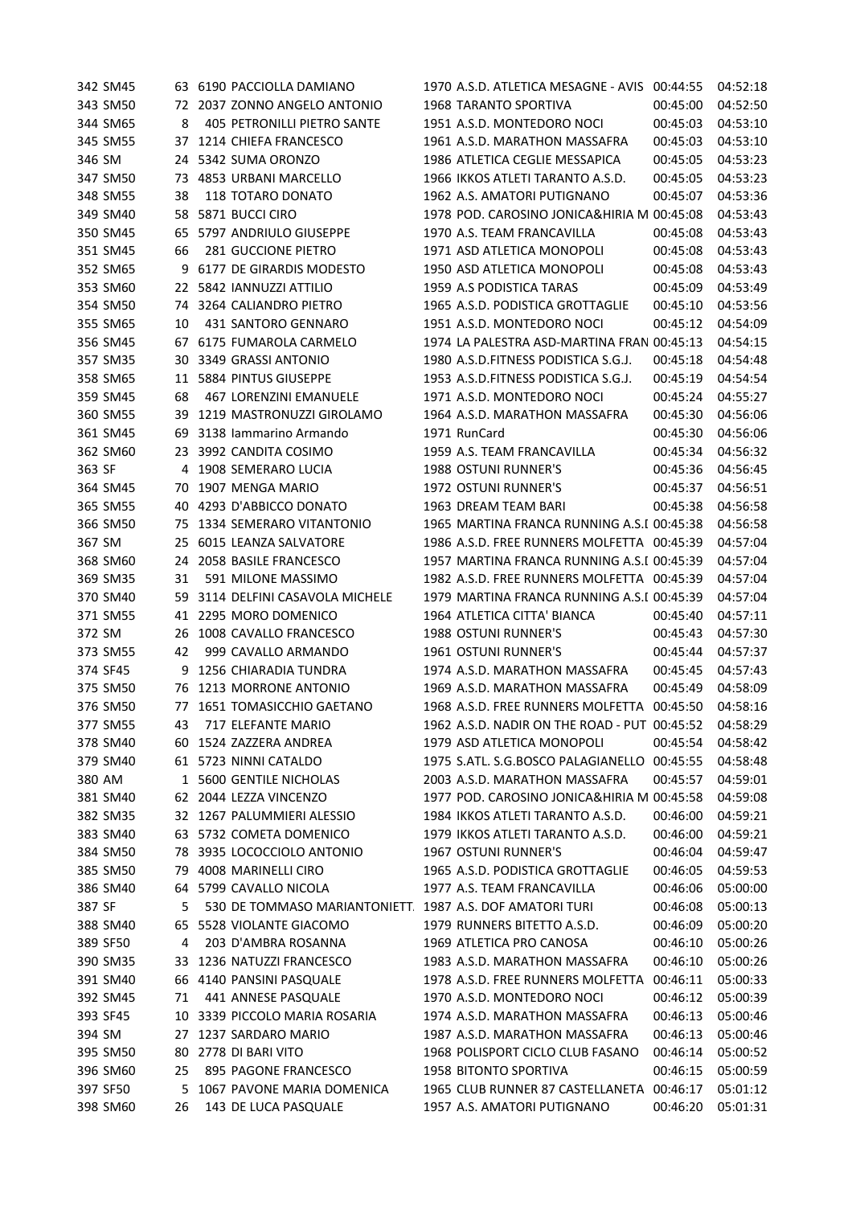|        | 342 SM45 |              | 63 6190 PACCIOLLA DAMIANO                               | 1970 A.S.D. ATLETICA MESAGNE - AVIS 00:44:55                |                      | 04:52:18             |
|--------|----------|--------------|---------------------------------------------------------|-------------------------------------------------------------|----------------------|----------------------|
|        | 343 SM50 |              | 72 2037 ZONNO ANGELO ANTONIO                            | <b>1968 TARANTO SPORTIVA</b>                                | 00:45:00             | 04:52:50             |
|        | 344 SM65 | 8            | 405 PETRONILLI PIETRO SANTE                             | 1951 A.S.D. MONTEDORO NOCI                                  | 00:45:03             | 04:53:10             |
|        | 345 SM55 |              | 37 1214 CHIEFA FRANCESCO                                | 1961 A.S.D. MARATHON MASSAFRA                               | 00:45:03             | 04:53:10             |
| 346 SM |          |              | 24 5342 SUMA ORONZO                                     | 1986 ATLETICA CEGLIE MESSAPICA                              | 00:45:05             | 04:53:23             |
|        | 347 SM50 |              | 73 4853 URBANI MARCELLO                                 | 1966 IKKOS ATLETI TARANTO A.S.D.                            | 00:45:05             | 04:53:23             |
|        | 348 SM55 | 38           | 118 TOTARO DONATO                                       | 1962 A.S. AMATORI PUTIGNANO                                 | 00:45:07             | 04:53:36             |
|        | 349 SM40 |              | 58 5871 BUCCI CIRO                                      | 1978 POD. CAROSINO JONICA&HIRIA M 00:45:08                  |                      | 04:53:43             |
|        | 350 SM45 | 65           | 5797 ANDRIULO GIUSEPPE                                  | 1970 A.S. TEAM FRANCAVILLA                                  | 00:45:08             | 04:53:43             |
|        | 351 SM45 | 66           | 281 GUCCIONE PIETRO                                     | 1971 ASD ATLETICA MONOPOLI                                  | 00:45:08             | 04:53:43             |
|        | 352 SM65 | 9            | 6177 DE GIRARDIS MODESTO                                | 1950 ASD ATLETICA MONOPOLI                                  | 00:45:08             | 04:53:43             |
|        | 353 SM60 |              | 22 5842 IANNUZZI ATTILIO                                | 1959 A.S PODISTICA TARAS                                    | 00:45:09             | 04:53:49             |
|        | 354 SM50 |              | 74 3264 CALIANDRO PIETRO                                | 1965 A.S.D. PODISTICA GROTTAGLIE                            | 00:45:10             | 04:53:56             |
|        | 355 SM65 | 10           | 431 SANTORO GENNARO                                     | 1951 A.S.D. MONTEDORO NOCI                                  | 00:45:12             | 04:54:09             |
|        | 356 SM45 | 67           | 6175 FUMAROLA CARMELO                                   | 1974 LA PALESTRA ASD-MARTINA FRAN 00:45:13                  |                      | 04:54:15             |
|        | 357 SM35 | 30           | 3349 GRASSI ANTONIO                                     | 1980 A.S.D.FITNESS PODISTICA S.G.J.                         | 00:45:18             | 04:54:48             |
|        | 358 SM65 |              | 11 5884 PINTUS GIUSEPPE                                 | 1953 A.S.D.FITNESS PODISTICA S.G.J.                         | 00:45:19             | 04:54:54             |
|        | 359 SM45 | 68           | 467 LORENZINI EMANUELE                                  | 1971 A.S.D. MONTEDORO NOCI                                  | 00:45:24             | 04:55:27             |
|        | 360 SM55 | 39           | 1219 MASTRONUZZI GIROLAMO                               | 1964 A.S.D. MARATHON MASSAFRA                               | 00:45:30             | 04:56:06             |
|        | 361 SM45 | 69           | 3138 Iammarino Armando                                  | 1971 RunCard                                                | 00:45:30             | 04:56:06             |
|        | 362 SM60 |              | 23 3992 CANDITA COSIMO                                  | 1959 A.S. TEAM FRANCAVILLA                                  | 00:45:34             | 04:56:32             |
| 363 SF |          |              | 4 1908 SEMERARO LUCIA                                   | 1988 OSTUNI RUNNER'S                                        | 00:45:36             | 04:56:45             |
|        | 364 SM45 | 70           | 1907 MENGA MARIO                                        | 1972 OSTUNI RUNNER'S                                        | 00:45:37             | 04:56:51             |
|        | 365 SM55 | 40           | 4293 D'ABBICCO DONATO                                   | 1963 DREAM TEAM BARI                                        | 00:45:38             | 04:56:58             |
|        | 366 SM50 | 75           | 1334 SEMERARO VITANTONIO                                | 1965 MARTINA FRANCA RUNNING A.S.I 00:45:38                  |                      | 04:56:58             |
| 367 SM |          | 25           | 6015 LEANZA SALVATORE                                   | 1986 A.S.D. FREE RUNNERS MOLFETTA 00:45:39                  |                      | 04:57:04             |
|        | 368 SM60 | 24           | 2058 BASILE FRANCESCO                                   | 1957 MARTINA FRANCA RUNNING A.S.I 00:45:39                  |                      | 04:57:04             |
|        | 369 SM35 | 31           | 591 MILONE MASSIMO                                      | 1982 A.S.D. FREE RUNNERS MOLFETTA 00:45:39                  |                      | 04:57:04             |
|        | 370 SM40 | 59           | 3114 DELFINI CASAVOLA MICHELE                           | 1979 MARTINA FRANCA RUNNING A.S.I 00:45:39                  |                      | 04:57:04             |
|        | 371 SM55 | 41           | 2295 MORO DOMENICO                                      | 1964 ATLETICA CITTA' BIANCA                                 | 00:45:40             | 04:57:11             |
| 372 SM |          | 26           | 1008 CAVALLO FRANCESCO                                  | 1988 OSTUNI RUNNER'S                                        | 00:45:43             | 04:57:30             |
|        | 373 SM55 | 42           | 999 CAVALLO ARMANDO                                     | 1961 OSTUNI RUNNER'S                                        | 00:45:44             | 04:57:37             |
|        | 374 SF45 | 9            | <b>1256 CHIARADIA TUNDRA</b>                            | 1974 A.S.D. MARATHON MASSAFRA                               | 00:45:45             | 04:57:43             |
|        | 375 SM50 |              | 76 1213 MORRONE ANTONIO                                 | 1969 A.S.D. MARATHON MASSAFRA                               | 00:45:49             | 04:58:09             |
|        | 376 SM50 |              | 77 1651 TOMASICCHIO GAETANO                             | 1968 A.S.D. FREE RUNNERS MOLFETTA 00:45:50                  |                      | 04:58:16             |
|        | 377 SM55 | 43           | 717 ELEFANTE MARIO                                      | 1962 A.S.D. NADIR ON THE ROAD - PUT 00:45:52                |                      | 04:58:29             |
|        | 378 SM40 |              | 60 1524 ZAZZERA ANDREA                                  | 1979 ASD ATLETICA MONOPOLI                                  | 00:45:54             | 04:58:42             |
|        | 379 SM40 |              | 61 5723 NINNI CATALDO                                   | 1975 S.ATL. S.G.BOSCO PALAGIANELLO 00:45:55                 |                      | 04:58:48             |
|        | 380 AM   | $\mathbf{1}$ | 5600 GENTILE NICHOLAS                                   | 2003 A.S.D. MARATHON MASSAFRA                               | 00:45:57             | 04:59:01             |
|        | 381 SM40 | 62           | 2044 LEZZA VINCENZO                                     | 1977 POD. CAROSINO JONICA&HIRIA M 00:45:58                  |                      | 04:59:08             |
|        | 382 SM35 |              | 32 1267 PALUMMIERI ALESSIO                              | 1984 IKKOS ATLETI TARANTO A.S.D.                            | 00:46:00             | 04:59:21             |
|        | 383 SM40 | 63           | 5732 COMETA DOMENICO                                    | 1979 IKKOS ATLETI TARANTO A.S.D.                            | 00:46:00             | 04:59:21             |
|        | 384 SM50 |              | 78 3935 LOCOCCIOLO ANTONIO                              | <b>1967 OSTUNI RUNNER'S</b>                                 | 00:46:04             | 04:59:47             |
|        | 385 SM50 | 79           | 4008 MARINELLI CIRO                                     | 1965 A.S.D. PODISTICA GROTTAGLIE                            | 00:46:05             | 04:59:53             |
|        | 386 SM40 |              | 64 5799 CAVALLO NICOLA                                  | 1977 A.S. TEAM FRANCAVILLA                                  | 00:46:06             | 05:00:00             |
| 387 SF |          | 5            | 530 DE TOMMASO MARIANTONIETT 1987 A.S. DOF AMATORI TURI |                                                             | 00:46:08             | 05:00:13             |
|        | 388 SM40 |              | 65 5528 VIOLANTE GIACOMO                                | 1979 RUNNERS BITETTO A.S.D.                                 | 00:46:09             | 05:00:20             |
|        | 389 SF50 | 4            | 203 D'AMBRA ROSANNA                                     | 1969 ATLETICA PRO CANOSA                                    | 00:46:10             | 05:00:26             |
|        | 390 SM35 | 33           | 1236 NATUZZI FRANCESCO                                  | 1983 A.S.D. MARATHON MASSAFRA                               | 00:46:10             | 05:00:26             |
|        | 391 SM40 |              | 66 4140 PANSINI PASQUALE                                | 1978 A.S.D. FREE RUNNERS MOLFETTA                           | 00:46:11             | 05:00:33             |
|        | 392 SM45 | 71           | 441 ANNESE PASQUALE<br>3339 PICCOLO MARIA ROSARIA       | 1970 A.S.D. MONTEDORO NOCI<br>1974 A.S.D. MARATHON MASSAFRA | 00:46:12             | 05:00:39             |
| 394 SM | 393 SF45 | 10           | 1237 SARDARO MARIO                                      | 1987 A.S.D. MARATHON MASSAFRA                               | 00:46:13<br>00:46:13 | 05:00:46<br>05:00:46 |
|        | 395 SM50 | 27<br>80     | 2778 DI BARI VITO                                       | 1968 POLISPORT CICLO CLUB FASANO                            | 00:46:14             | 05:00:52             |
|        | 396 SM60 | 25           | 895 PAGONE FRANCESCO                                    | <b>1958 BITONTO SPORTIVA</b>                                | 00:46:15             | 05:00:59             |
|        | 397 SF50 | 5            | 1067 PAVONE MARIA DOMENICA                              | 1965 CLUB RUNNER 87 CASTELLANETA                            | 00:46:17             | 05:01:12             |
|        | 398 SM60 | 26           | 143 DE LUCA PASQUALE                                    | 1957 A.S. AMATORI PUTIGNANO                                 | 00:46:20             | 05:01:31             |
|        |          |              |                                                         |                                                             |                      |                      |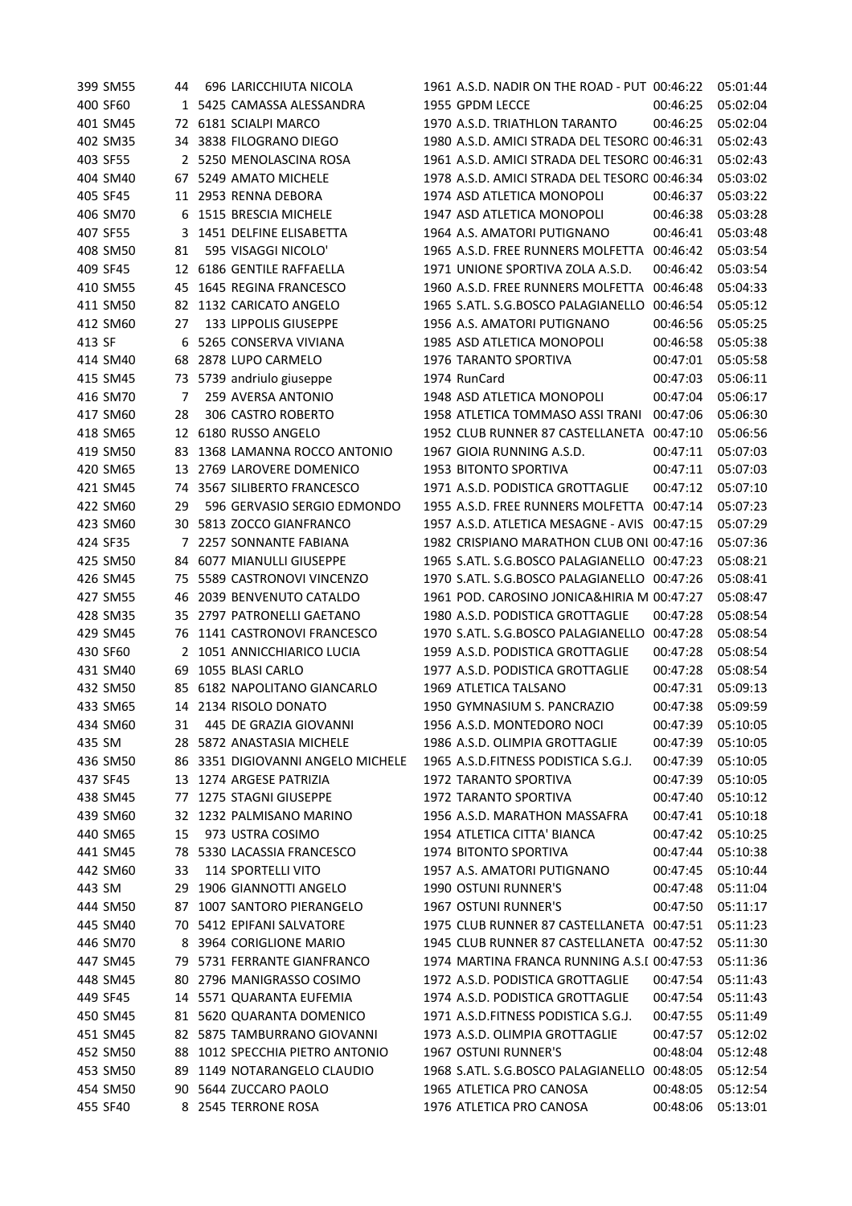|        | 399 SM55 | 44 | 696 LARICCHIUTA NICOLA            | 1961 A.S.D. NADIR ON THE ROAD - PUT 00:46:22 |                   | 05:01:44 |
|--------|----------|----|-----------------------------------|----------------------------------------------|-------------------|----------|
|        | 400 SF60 |    | 1 5425 CAMASSA ALESSANDRA         | 1955 GPDM LECCE                              | 00:46:25          | 05:02:04 |
|        | 401 SM45 |    | 72 6181 SCIALPI MARCO             | 1970 A.S.D. TRIATHLON TARANTO                | 00:46:25          | 05:02:04 |
|        | 402 SM35 |    | 34 3838 FILOGRANO DIEGO           | 1980 A.S.D. AMICI STRADA DEL TESORO 00:46:31 |                   | 05:02:43 |
|        | 403 SF55 |    | 2 5250 MENOLASCINA ROSA           | 1961 A.S.D. AMICI STRADA DEL TESORO 00:46:31 |                   | 05:02:43 |
|        | 404 SM40 |    | 67 5249 AMATO MICHELE             | 1978 A.S.D. AMICI STRADA DEL TESORO 00:46:34 |                   | 05:03:02 |
|        | 405 SF45 |    | 11 2953 RENNA DEBORA              | 1974 ASD ATLETICA MONOPOLI                   | 00:46:37          | 05:03:22 |
|        | 406 SM70 | 6  | 1515 BRESCIA MICHELE              | 1947 ASD ATLETICA MONOPOLI                   | 00:46:38          | 05:03:28 |
|        | 407 SF55 | 3  | 1451 DELFINE ELISABETTA           | 1964 A.S. AMATORI PUTIGNANO                  | 00:46:41          | 05:03:48 |
|        | 408 SM50 | 81 | 595 VISAGGI NICOLO'               | 1965 A.S.D. FREE RUNNERS MOLFETTA 00:46:42   |                   | 05:03:54 |
|        | 409 SF45 |    | 12 6186 GENTILE RAFFAELLA         | 1971 UNIONE SPORTIVA ZOLA A.S.D.             | 00:46:42          | 05:03:54 |
|        | 410 SM55 | 45 | 1645 REGINA FRANCESCO             | 1960 A.S.D. FREE RUNNERS MOLFETTA            | 00:46:48          | 05:04:33 |
|        | 411 SM50 | 82 | 1132 CARICATO ANGELO              | 1965 S.ATL. S.G.BOSCO PALAGIANELLO           | 00:46:54          | 05:05:12 |
|        | 412 SM60 | 27 | 133 LIPPOLIS GIUSEPPE             | 1956 A.S. AMATORI PUTIGNANO                  | 00:46:56          | 05:05:25 |
| 413 SF |          | 6  | 5265 CONSERVA VIVIANA             | 1985 ASD ATLETICA MONOPOLI                   | 00:46:58          | 05:05:38 |
|        | 414 SM40 | 68 | 2878 LUPO CARMELO                 | 1976 TARANTO SPORTIVA                        | 00:47:01          | 05:05:58 |
|        | 415 SM45 | 73 | 5739 andriulo giuseppe            | 1974 RunCard                                 | 00:47:03          | 05:06:11 |
|        | 416 SM70 | 7  | 259 AVERSA ANTONIO                | 1948 ASD ATLETICA MONOPOLI                   | 00:47:04          | 05:06:17 |
|        | 417 SM60 | 28 | 306 CASTRO ROBERTO                | 1958 ATLETICA TOMMASO ASSI TRANI             | 00:47:06          | 05:06:30 |
|        | 418 SM65 |    | 12 6180 RUSSO ANGELO              | 1952 CLUB RUNNER 87 CASTELLANETA 00:47:10    |                   | 05:06:56 |
|        | 419 SM50 | 83 | 1368 LAMANNA ROCCO ANTONIO        | 1967 GIOIA RUNNING A.S.D.                    | 00:47:11          | 05:07:03 |
|        | 420 SM65 |    | 13 2769 LAROVERE DOMENICO         | 1953 BITONTO SPORTIVA                        | 00:47:11          | 05:07:03 |
|        | 421 SM45 |    | 74 3567 SILIBERTO FRANCESCO       | 1971 A.S.D. PODISTICA GROTTAGLIE             | 00:47:12          | 05:07:10 |
|        | 422 SM60 | 29 | 596 GERVASIO SERGIO EDMONDO       | 1955 A.S.D. FREE RUNNERS MOLFETTA 00:47:14   |                   | 05:07:23 |
|        | 423 SM60 | 30 | 5813 ZOCCO GIANFRANCO             | 1957 A.S.D. ATLETICA MESAGNE - AVIS 00:47:15 |                   | 05:07:29 |
|        | 424 SF35 | 7  | 2257 SONNANTE FABIANA             | 1982 CRISPIANO MARATHON CLUB ONI 00:47:16    |                   | 05:07:36 |
|        | 425 SM50 |    | 84 6077 MIANULLI GIUSEPPE         | 1965 S.ATL. S.G.BOSCO PALAGIANELLO 00:47:23  |                   | 05:08:21 |
|        | 426 SM45 | 75 | 5589 CASTRONOVI VINCENZO          | 1970 S.ATL. S.G.BOSCO PALAGIANELLO 00:47:26  |                   | 05:08:41 |
|        | 427 SM55 | 46 | 2039 BENVENUTO CATALDO            | 1961 POD. CAROSINO JONICA&HIRIA M 00:47:27   |                   | 05:08:47 |
|        | 428 SM35 | 35 | 2797 PATRONELLI GAETANO           | 1980 A.S.D. PODISTICA GROTTAGLIE             | 00:47:28          | 05:08:54 |
|        | 429 SM45 | 76 | 1141 CASTRONOVI FRANCESCO         | 1970 S.ATL. S.G.BOSCO PALAGIANELLO 00:47:28  |                   | 05:08:54 |
|        | 430 SF60 |    | 2 1051 ANNICCHIARICO LUCIA        | 1959 A.S.D. PODISTICA GROTTAGLIE             | 00:47:28          | 05:08:54 |
|        | 431 SM40 | 69 | 1055 BLASI CARLO                  | 1977 A.S.D. PODISTICA GROTTAGLIE             | 00:47:28          | 05:08:54 |
|        | 432 SM50 |    | 85 6182 NAPOLITANO GIANCARLO      | 1969 ATLETICA TALSANO                        | 00:47:31          | 05:09:13 |
|        | 433 SM65 |    | 14 2134 RISOLO DONATO             | 1950 GYMNASIUM S. PANCRAZIO                  | 00:47:38          | 05:09:59 |
|        | 434 SM60 |    | 31 445 DE GRAZIA GIOVANNI         | 1956 A.S.D. MONTEDORO NOCI                   | 00:47:39 05:10:05 |          |
| 435 SM |          |    | 28 5872 ANASTASIA MICHELE         | 1986 A.S.D. OLIMPIA GROTTAGLIE               | 00:47:39          | 05:10:05 |
|        | 436 SM50 |    | 86 3351 DIGIOVANNI ANGELO MICHELE | 1965 A.S.D.FITNESS PODISTICA S.G.J.          | 00:47:39          | 05:10:05 |
|        | 437 SF45 | 13 | 1274 ARGESE PATRIZIA              | 1972 TARANTO SPORTIVA                        | 00:47:39          | 05:10:05 |
|        | 438 SM45 | 77 | 1275 STAGNI GIUSEPPE              | 1972 TARANTO SPORTIVA                        | 00:47:40          | 05:10:12 |
|        | 439 SM60 | 32 | 1232 PALMISANO MARINO             | 1956 A.S.D. MARATHON MASSAFRA                | 00:47:41          | 05:10:18 |
|        | 440 SM65 | 15 | 973 USTRA COSIMO                  | 1954 ATLETICA CITTA' BIANCA                  | 00:47:42          | 05:10:25 |
|        | 441 SM45 | 78 | 5330 LACASSIA FRANCESCO           | 1974 BITONTO SPORTIVA                        | 00:47:44          | 05:10:38 |
|        | 442 SM60 | 33 | <b>114 SPORTELLI VITO</b>         | 1957 A.S. AMATORI PUTIGNANO                  | 00:47:45          | 05:10:44 |
| 443 SM |          | 29 | 1906 GIANNOTTI ANGELO             | 1990 OSTUNI RUNNER'S                         | 00:47:48          | 05:11:04 |
|        | 444 SM50 | 87 | 1007 SANTORO PIERANGELO           | 1967 OSTUNI RUNNER'S                         | 00:47:50          | 05:11:17 |
|        | 445 SM40 |    | 70 5412 EPIFANI SALVATORE         | 1975 CLUB RUNNER 87 CASTELLANETA 00:47:51    |                   | 05:11:23 |
|        | 446 SM70 | 8  | 3964 CORIGLIONE MARIO             | 1945 CLUB RUNNER 87 CASTELLANETA 00:47:52    |                   | 05:11:30 |
|        | 447 SM45 | 79 | 5731 FERRANTE GIANFRANCO          | 1974 MARTINA FRANCA RUNNING A.S.I 00:47:53   |                   | 05:11:36 |
|        | 448 SM45 | 80 | 2796 MANIGRASSO COSIMO            | 1972 A.S.D. PODISTICA GROTTAGLIE             | 00:47:54          | 05:11:43 |
|        | 449 SF45 | 14 | 5571 QUARANTA EUFEMIA             | 1974 A.S.D. PODISTICA GROTTAGLIE             | 00:47:54          | 05:11:43 |
|        | 450 SM45 | 81 | 5620 QUARANTA DOMENICO            | 1971 A.S.D.FITNESS PODISTICA S.G.J.          | 00:47:55          | 05:11:49 |
|        | 451 SM45 |    | 82 5875 TAMBURRANO GIOVANNI       | 1973 A.S.D. OLIMPIA GROTTAGLIE               | 00:47:57          | 05:12:02 |
|        | 452 SM50 | 88 | 1012 SPECCHIA PIETRO ANTONIO      | 1967 OSTUNI RUNNER'S                         | 00:48:04          | 05:12:48 |
|        | 453 SM50 | 89 | 1149 NOTARANGELO CLAUDIO          | 1968 S.ATL. S.G.BOSCO PALAGIANELLO 00:48:05  |                   | 05:12:54 |
|        | 454 SM50 | 90 | 5644 ZUCCARO PAOLO                | 1965 ATLETICA PRO CANOSA                     | 00:48:05          | 05:12:54 |
|        | 455 SF40 |    | 8 2545 TERRONE ROSA               | 1976 ATLETICA PRO CANOSA                     | 00:48:06          | 05:13:01 |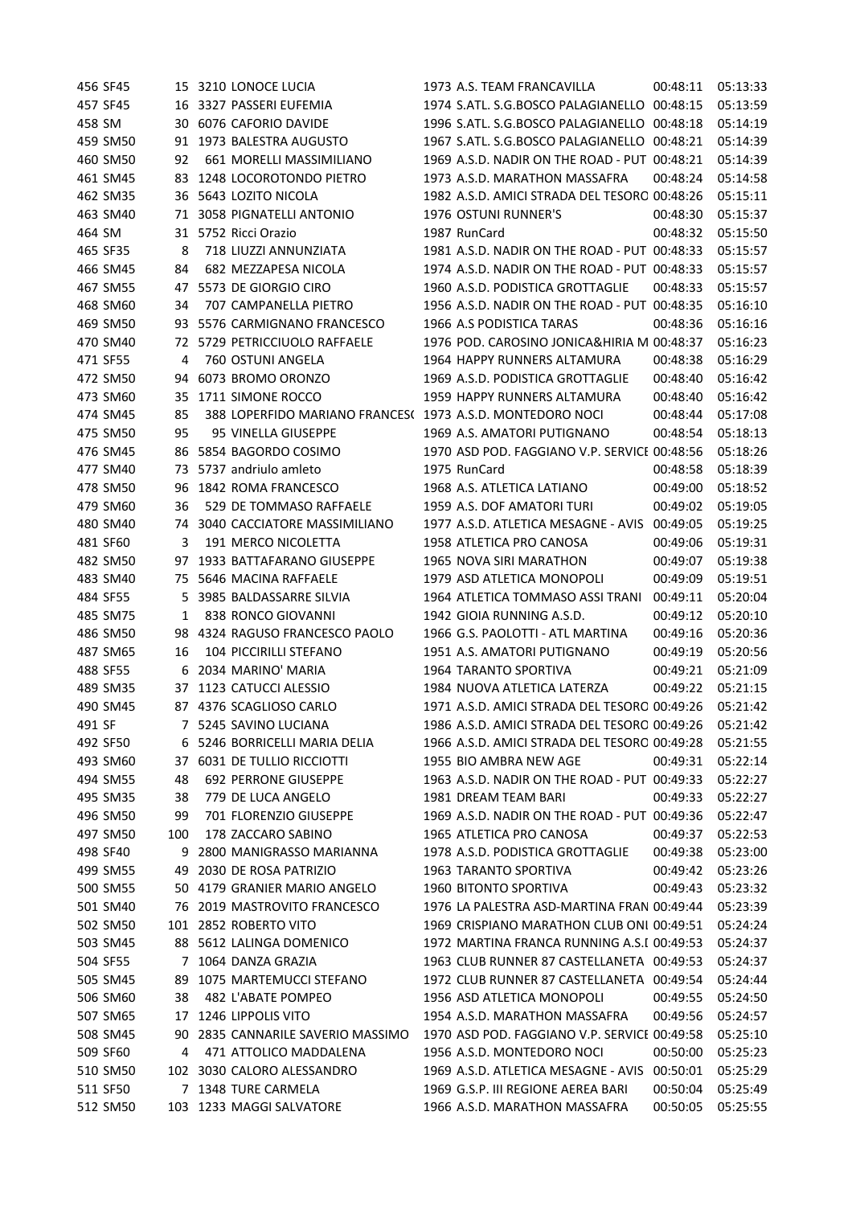|        | 456 SF45             |     | 15 3210 LONOCE LUCIA                                      | 1973 A.S. TEAM FRANCAVILLA                                             | 00:48:11 | 05:13:33 |
|--------|----------------------|-----|-----------------------------------------------------------|------------------------------------------------------------------------|----------|----------|
|        | 457 SF45             |     | 16 3327 PASSERI EUFEMIA                                   | 1974 S.ATL. S.G.BOSCO PALAGIANELLO 00:48:15                            |          | 05:13:59 |
| 458 SM |                      |     | 30 6076 CAFORIO DAVIDE                                    | 1996 S.ATL. S.G.BOSCO PALAGIANELLO 00:48:18                            |          | 05:14:19 |
|        | 459 SM50             |     | 91 1973 BALESTRA AUGUSTO                                  | 1967 S.ATL. S.G.BOSCO PALAGIANELLO 00:48:21                            |          | 05:14:39 |
|        | 460 SM50             | 92  | 661 MORELLI MASSIMILIANO                                  | 1969 A.S.D. NADIR ON THE ROAD - PUT 00:48:21                           |          | 05:14:39 |
|        | 461 SM45             | 83  | 1248 LOCOROTONDO PIETRO                                   | 1973 A.S.D. MARATHON MASSAFRA                                          | 00:48:24 | 05:14:58 |
|        | 462 SM35             |     | 36 5643 LOZITO NICOLA                                     | 1982 A.S.D. AMICI STRADA DEL TESORO 00:48:26                           |          | 05:15:11 |
|        | 463 SM40             |     | 71 3058 PIGNATELLI ANTONIO                                | 1976 OSTUNI RUNNER'S                                                   | 00:48:30 | 05:15:37 |
| 464 SM |                      |     | 31 5752 Ricci Orazio                                      | 1987 RunCard                                                           | 00:48:32 | 05:15:50 |
|        | 465 SF35             | 8   | 718 LIUZZI ANNUNZIATA                                     | 1981 A.S.D. NADIR ON THE ROAD - PUT 00:48:33                           |          | 05:15:57 |
|        | 466 SM45             | 84  | 682 MEZZAPESA NICOLA                                      | 1974 A.S.D. NADIR ON THE ROAD - PUT 00:48:33                           |          | 05:15:57 |
|        | 467 SM55             | 47  | 5573 DE GIORGIO CIRO                                      | 1960 A.S.D. PODISTICA GROTTAGLIE                                       | 00:48:33 | 05:15:57 |
|        | 468 SM60             | 34  | 707 CAMPANELLA PIETRO                                     | 1956 A.S.D. NADIR ON THE ROAD - PUT 00:48:35                           |          | 05:16:10 |
|        | 469 SM50             | 93  | 5576 CARMIGNANO FRANCESCO                                 | 1966 A.S PODISTICA TARAS                                               | 00:48:36 | 05:16:16 |
|        | 470 SM40             | 72  | 5729 PETRICCIUOLO RAFFAELE                                | 1976 POD. CAROSINO JONICA&HIRIA M 00:48:37                             |          | 05:16:23 |
|        | 471 SF55             | 4   | 760 OSTUNI ANGELA                                         | 1964 HAPPY RUNNERS ALTAMURA                                            | 00:48:38 | 05:16:29 |
|        | 472 SM50             | 94  | 6073 BROMO ORONZO                                         | 1969 A.S.D. PODISTICA GROTTAGLIE                                       | 00:48:40 | 05:16:42 |
|        | 473 SM60             | 35  | 1711 SIMONE ROCCO                                         | 1959 HAPPY RUNNERS ALTAMURA                                            | 00:48:40 | 05:16:42 |
|        | 474 SM45             | 85  | 388 LOPERFIDO MARIANO FRANCES( 1973 A.S.D. MONTEDORO NOCI |                                                                        | 00:48:44 | 05:17:08 |
|        | 475 SM50             | 95  | 95 VINELLA GIUSEPPE                                       | 1969 A.S. AMATORI PUTIGNANO                                            | 00:48:54 | 05:18:13 |
|        | 476 SM45             | 86  | 5854 BAGORDO COSIMO                                       | 1970 ASD POD. FAGGIANO V.P. SERVICE 00:48:56                           |          | 05:18:26 |
|        | 477 SM40             |     | 73 5737 andriulo amleto                                   | 1975 RunCard                                                           | 00:48:58 | 05:18:39 |
|        | 478 SM50             | 96  | 1842 ROMA FRANCESCO                                       | 1968 A.S. ATLETICA LATIANO                                             | 00:49:00 | 05:18:52 |
|        | 479 SM60             | 36  | 529 DE TOMMASO RAFFAELE                                   | 1959 A.S. DOF AMATORI TURI                                             | 00:49:02 | 05:19:05 |
|        | 480 SM40             |     | 74 3040 CACCIATORE MASSIMILIANO                           | 1977 A.S.D. ATLETICA MESAGNE - AVIS                                    | 00:49:05 | 05:19:25 |
|        | 481 SF60             | 3   | 191 MERCO NICOLETTA                                       | 1958 ATLETICA PRO CANOSA                                               | 00:49:06 | 05:19:31 |
|        | 482 SM50             | 97  | 1933 BATTAFARANO GIUSEPPE                                 | 1965 NOVA SIRI MARATHON                                                | 00:49:07 | 05:19:38 |
|        | 483 SM40             | 75  | 5646 MACINA RAFFAELE                                      | 1979 ASD ATLETICA MONOPOLI                                             | 00:49:09 | 05:19:51 |
|        | 484 SF55             | 5.  | 3985 BALDASSARRE SILVIA                                   | 1964 ATLETICA TOMMASO ASSI TRANI                                       | 00:49:11 | 05:20:04 |
|        | 485 SM75             | 1   | 838 RONCO GIOVANNI                                        | 1942 GIOIA RUNNING A.S.D.                                              | 00:49:12 | 05:20:10 |
|        | 486 SM50             | 98  | 4324 RAGUSO FRANCESCO PAOLO                               | 1966 G.S. PAOLOTTI - ATL MARTINA                                       | 00:49:16 | 05:20:36 |
|        | 487 SM65             | 16  | 104 PICCIRILLI STEFANO                                    | 1951 A.S. AMATORI PUTIGNANO                                            | 00:49:19 | 05:20:56 |
|        | 488 SF55             | 6   | 2034 MARINO' MARIA                                        | 1964 TARANTO SPORTIVA                                                  | 00:49:21 | 05:21:09 |
|        | 489 SM35             |     | 37 1123 CATUCCI ALESSIO                                   | 1984 NUOVA ATLETICA LATERZA                                            | 00:49:22 | 05:21:15 |
|        | 490 SM45             |     | 87 4376 SCAGLIOSO CARLO                                   | 1971 A.S.D. AMICI STRADA DEL TESORO 00:49:26                           |          | 05:21:42 |
| 491 SF |                      |     | 7 5245 SAVINO LUCIANA                                     | 1986 A.S.D. AMICI STRADA DEL TESORO 00:49:26                           |          | 05:21:42 |
|        | 492 SF50             |     | 5246 BORRICELLI MARIA DELIA                               | 1966 A.S.D. AMICI STRADA DEL TESORO 00:49:28                           |          | 05:21:55 |
|        |                      |     | 6031 DE TULLIO RICCIOTTI                                  |                                                                        |          |          |
|        | 493 SM60<br>494 SM55 | 37  | <b>692 PERRONE GIUSEPPE</b>                               | 1955 BIO AMBRA NEW AGE<br>1963 A.S.D. NADIR ON THE ROAD - PUT 00:49:33 | 00:49:31 | 05:22:14 |
|        |                      | 48  | 779 DE LUCA ANGELO                                        |                                                                        |          | 05:22:27 |
|        | 495 SM35             | 38  | 701 FLORENZIO GIUSEPPE                                    | 1981 DREAM TEAM BARI                                                   | 00:49:33 | 05:22:27 |
|        | 496 SM50             | 99  |                                                           | 1969 A.S.D. NADIR ON THE ROAD - PUT 00:49:36                           |          | 05:22:47 |
|        | 497 SM50             | 100 | 178 ZACCARO SABINO                                        | 1965 ATLETICA PRO CANOSA                                               | 00:49:37 | 05:22:53 |
|        | 498 SF40             | 9   | 2800 MANIGRASSO MARIANNA                                  | 1978 A.S.D. PODISTICA GROTTAGLIE                                       | 00:49:38 | 05:23:00 |
|        | 499 SM55             | 49  | 2030 DE ROSA PATRIZIO                                     | <b>1963 TARANTO SPORTIVA</b>                                           | 00:49:42 | 05:23:26 |
|        | 500 SM55             |     | 50 4179 GRANIER MARIO ANGELO                              | 1960 BITONTO SPORTIVA                                                  | 00:49:43 | 05:23:32 |
|        | 501 SM40             |     | 76 2019 MASTROVITO FRANCESCO                              | 1976 LA PALESTRA ASD-MARTINA FRAN 00:49:44                             |          | 05:23:39 |
|        | 502 SM50             |     | 101 2852 ROBERTO VITO                                     | 1969 CRISPIANO MARATHON CLUB ONI 00:49:51                              |          | 05:24:24 |
|        | 503 SM45             |     | 88 5612 LALINGA DOMENICO                                  | 1972 MARTINA FRANCA RUNNING A.S.I 00:49:53                             |          | 05:24:37 |
|        | 504 SF55             | 7   | 1064 DANZA GRAZIA                                         | 1963 CLUB RUNNER 87 CASTELLANETA 00:49:53                              |          | 05:24:37 |
|        | 505 SM45             | 89  | 1075 MARTEMUCCI STEFANO                                   | 1972 CLUB RUNNER 87 CASTELLANETA 00:49:54                              |          | 05:24:44 |
|        | 506 SM60             | 38  | 482 L'ABATE POMPEO                                        | 1956 ASD ATLETICA MONOPOLI                                             | 00:49:55 | 05:24:50 |
|        | 507 SM65             | 17  | 1246 LIPPOLIS VITO                                        | 1954 A.S.D. MARATHON MASSAFRA                                          | 00:49:56 | 05:24:57 |
|        | 508 SM45             | 90  | 2835 CANNARILE SAVERIO MASSIMO                            | 1970 ASD POD. FAGGIANO V.P. SERVICE 00:49:58                           |          | 05:25:10 |
|        | 509 SF60             | 4   | 471 ATTOLICO MADDALENA                                    | 1956 A.S.D. MONTEDORO NOCI                                             | 00:50:00 | 05:25:23 |
|        | 510 SM50             |     | 102 3030 CALORO ALESSANDRO                                | 1969 A.S.D. ATLETICA MESAGNE - AVIS                                    | 00:50:01 | 05:25:29 |
|        | 511 SF50             |     | 7 1348 TURE CARMELA                                       | 1969 G.S.P. III REGIONE AEREA BARI                                     | 00:50:04 | 05:25:49 |
|        | 512 SM50             |     | 103 1233 MAGGI SALVATORE                                  | 1966 A.S.D. MARATHON MASSAFRA                                          | 00:50:05 | 05:25:55 |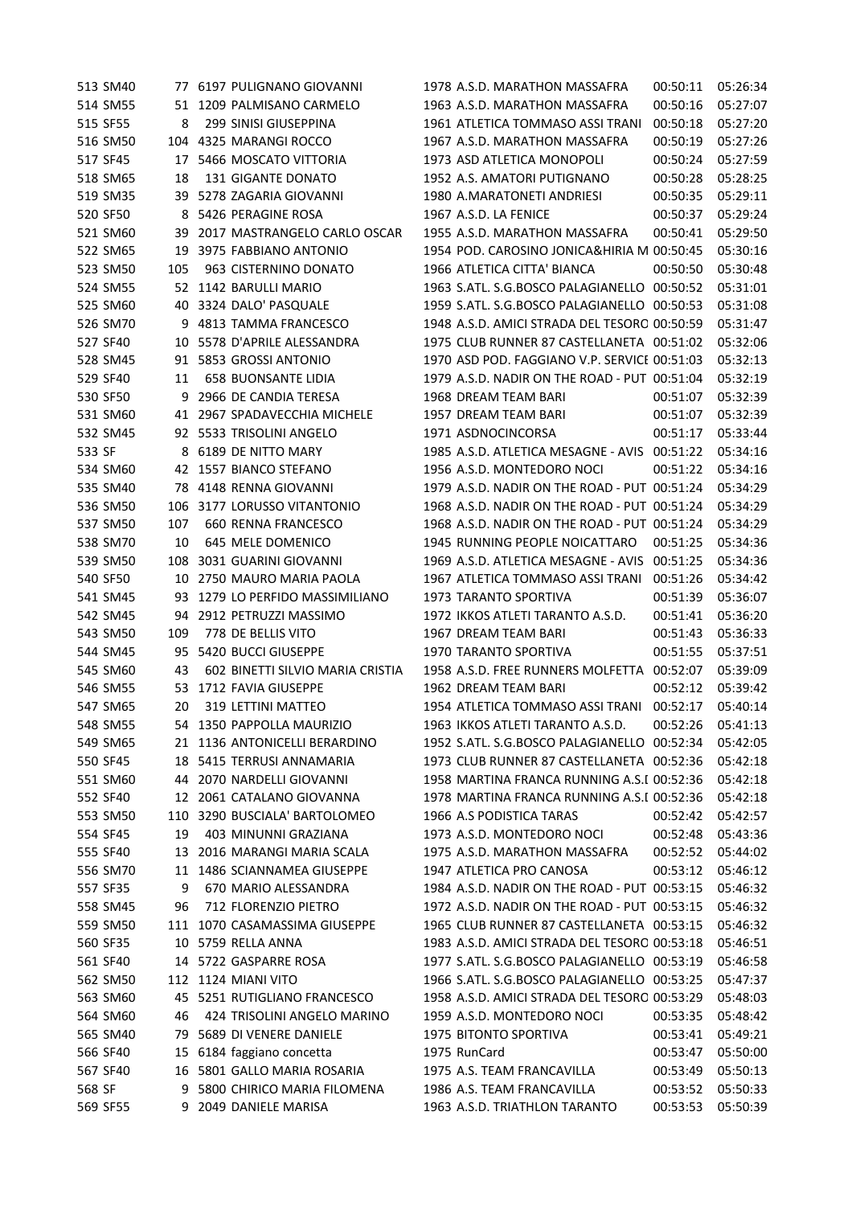|        | 513 SM40 |     | 77 6197 PULIGNANO GIOVANNI       | 1978 A.S.D. MARATHON MASSAFRA                | 00:50:11 | 05:26:34 |
|--------|----------|-----|----------------------------------|----------------------------------------------|----------|----------|
|        | 514 SM55 |     | 51 1209 PALMISANO CARMELO        | 1963 A.S.D. MARATHON MASSAFRA                | 00:50:16 | 05:27:07 |
|        | 515 SF55 | 8   | 299 SINISI GIUSEPPINA            | 1961 ATLETICA TOMMASO ASSI TRANI             | 00:50:18 | 05:27:20 |
|        | 516 SM50 |     | 104 4325 MARANGI ROCCO           | 1967 A.S.D. MARATHON MASSAFRA                | 00:50:19 | 05:27:26 |
|        | 517 SF45 |     | 17 5466 MOSCATO VITTORIA         | 1973 ASD ATLETICA MONOPOLI                   | 00:50:24 | 05:27:59 |
|        | 518 SM65 | 18  | <b>131 GIGANTE DONATO</b>        | 1952 A.S. AMATORI PUTIGNANO                  | 00:50:28 | 05:28:25 |
|        | 519 SM35 |     | 39 5278 ZAGARIA GIOVANNI         | 1980 A.MARATONETI ANDRIESI                   | 00:50:35 | 05:29:11 |
|        | 520 SF50 | 8   | 5426 PERAGINE ROSA               | 1967 A.S.D. LA FENICE                        | 00:50:37 | 05:29:24 |
|        | 521 SM60 | 39  | 2017 MASTRANGELO CARLO OSCAR     | 1955 A.S.D. MARATHON MASSAFRA                | 00:50:41 | 05:29:50 |
|        | 522 SM65 | 19  | 3975 FABBIANO ANTONIO            | 1954 POD. CAROSINO JONICA&HIRIA M 00:50:45   |          | 05:30:16 |
|        | 523 SM50 | 105 | 963 CISTERNINO DONATO            | 1966 ATLETICA CITTA' BIANCA                  | 00:50:50 | 05:30:48 |
|        | 524 SM55 |     | 52 1142 BARULLI MARIO            | 1963 S.ATL. S.G.BOSCO PALAGIANELLO 00:50:52  |          | 05:31:01 |
|        | 525 SM60 | 40  | 3324 DALO' PASQUALE              | 1959 S.ATL. S.G.BOSCO PALAGIANELLO 00:50:53  |          | 05:31:08 |
|        | 526 SM70 | 9   | 4813 TAMMA FRANCESCO             | 1948 A.S.D. AMICI STRADA DEL TESORO 00:50:59 |          | 05:31:47 |
|        | 527 SF40 | 10  | 5578 D'APRILE ALESSANDRA         | 1975 CLUB RUNNER 87 CASTELLANETA 00:51:02    |          | 05:32:06 |
|        | 528 SM45 | 91  | 5853 GROSSI ANTONIO              | 1970 ASD POD. FAGGIANO V.P. SERVICE 00:51:03 |          | 05:32:13 |
|        | 529 SF40 | 11  | <b>658 BUONSANTE LIDIA</b>       | 1979 A.S.D. NADIR ON THE ROAD - PUT 00:51:04 |          | 05:32:19 |
|        | 530 SF50 | 9   | 2966 DE CANDIA TERESA            | 1968 DREAM TEAM BARI                         | 00:51:07 | 05:32:39 |
|        | 531 SM60 |     | 41 2967 SPADAVECCHIA MICHELE     | 1957 DREAM TEAM BARI                         | 00:51:07 | 05:32:39 |
|        | 532 SM45 |     | 92 5533 TRISOLINI ANGELO         | 1971 ASDNOCINCORSA                           | 00:51:17 | 05:33:44 |
| 533 SF |          | 8   | 6189 DE NITTO MARY               | 1985 A.S.D. ATLETICA MESAGNE - AVIS 00:51:22 |          | 05:34:16 |
|        | 534 SM60 |     | 42 1557 BIANCO STEFANO           | 1956 A.S.D. MONTEDORO NOCI                   | 00:51:22 | 05:34:16 |
|        | 535 SM40 |     | 78 4148 RENNA GIOVANNI           | 1979 A.S.D. NADIR ON THE ROAD - PUT 00:51:24 |          | 05:34:29 |
|        | 536 SM50 |     | 106 3177 LORUSSO VITANTONIO      | 1968 A.S.D. NADIR ON THE ROAD - PUT 00:51:24 |          | 05:34:29 |
|        | 537 SM50 | 107 | 660 RENNA FRANCESCO              | 1968 A.S.D. NADIR ON THE ROAD - PUT 00:51:24 |          | 05:34:29 |
|        | 538 SM70 | 10  | 645 MELE DOMENICO                | 1945 RUNNING PEOPLE NOICATTARO               | 00:51:25 | 05:34:36 |
|        | 539 SM50 | 108 | 3031 GUARINI GIOVANNI            | 1969 A.S.D. ATLETICA MESAGNE - AVIS          | 00:51:25 | 05:34:36 |
|        | 540 SF50 |     | 10 2750 MAURO MARIA PAOLA        | 1967 ATLETICA TOMMASO ASSI TRANI             | 00:51:26 | 05:34:42 |
|        | 541 SM45 | 93  | 1279 LO PERFIDO MASSIMILIANO     | 1973 TARANTO SPORTIVA                        | 00:51:39 | 05:36:07 |
|        | 542 SM45 | 94  | 2912 PETRUZZI MASSIMO            | 1972 IKKOS ATLETI TARANTO A.S.D.             | 00:51:41 | 05:36:20 |
|        | 543 SM50 | 109 | 778 DE BELLIS VITO               | 1967 DREAM TEAM BARI                         | 00:51:43 | 05:36:33 |
|        | 544 SM45 |     | 95 5420 BUCCI GIUSEPPE           | 1970 TARANTO SPORTIVA                        | 00:51:55 | 05:37:51 |
|        | 545 SM60 | 43  | 602 BINETTI SILVIO MARIA CRISTIA | 1958 A.S.D. FREE RUNNERS MOLFETTA 00:52:07   |          | 05:39:09 |
|        | 546 SM55 | 53  | 1712 FAVIA GIUSEPPE              | 1962 DREAM TEAM BARI                         | 00:52:12 | 05:39:42 |
|        | 547 SM65 | 20  | 319 LETTINI MATTEO               | 1954 ATLETICA TOMMASO ASSI TRANI 00:52:17    |          | 05:40:14 |
|        | 548 SM55 |     | 54 1350 PAPPOLLA MAURIZIO        | 1963 IKKOS ATLETI TARANTO A.S.D.             | 00:52:26 | 05:41:13 |
|        | 549 SM65 |     | 21 1136 ANTONICELLI BERARDINO    | 1952 S.ATL. S.G.BOSCO PALAGIANELLO 00:52:34  |          | 05:42:05 |
|        | 550 SF45 |     | 18 5415 TERRUSI ANNAMARIA        | 1973 CLUB RUNNER 87 CASTELLANETA 00:52:36    |          | 05:42:18 |
|        | 551 SM60 |     | 44 2070 NARDELLI GIOVANNI        | 1958 MARTINA FRANCA RUNNING A.S.I 00:52:36   |          | 05:42:18 |
|        | 552 SF40 |     | 12 2061 CATALANO GIOVANNA        | 1978 MARTINA FRANCA RUNNING A.S.I 00:52:36   |          | 05:42:18 |
|        | 553 SM50 | 110 | 3290 BUSCIALA' BARTOLOMEO        | 1966 A.S PODISTICA TARAS                     | 00:52:42 | 05:42:57 |
|        | 554 SF45 | 19  | 403 MINUNNI GRAZIANA             | 1973 A.S.D. MONTEDORO NOCI                   | 00:52:48 | 05:43:36 |
|        | 555 SF40 | 13  | 2016 MARANGI MARIA SCALA         | 1975 A.S.D. MARATHON MASSAFRA                | 00:52:52 | 05:44:02 |
|        | 556 SM70 |     | 11 1486 SCIANNAMEA GIUSEPPE      | 1947 ATLETICA PRO CANOSA                     | 00:53:12 | 05:46:12 |
|        | 557 SF35 | 9   | 670 MARIO ALESSANDRA             | 1984 A.S.D. NADIR ON THE ROAD - PUT 00:53:15 |          | 05:46:32 |
|        | 558 SM45 | 96  | 712 FLORENZIO PIETRO             | 1972 A.S.D. NADIR ON THE ROAD - PUT 00:53:15 |          | 05:46:32 |
|        | 559 SM50 |     | 111 1070 CASAMASSIMA GIUSEPPE    | 1965 CLUB RUNNER 87 CASTELLANETA 00:53:15    |          | 05:46:32 |
|        | 560 SF35 |     | 10 5759 RELLA ANNA               | 1983 A.S.D. AMICI STRADA DEL TESORO 00:53:18 |          | 05:46:51 |
|        | 561 SF40 |     | 14 5722 GASPARRE ROSA            | 1977 S.ATL. S.G.BOSCO PALAGIANELLO 00:53:19  |          | 05:46:58 |
|        | 562 SM50 |     | 112 1124 MIANI VITO              | 1966 S.ATL. S.G.BOSCO PALAGIANELLO 00:53:25  |          | 05:47:37 |
|        | 563 SM60 |     | 45 5251 RUTIGLIANO FRANCESCO     | 1958 A.S.D. AMICI STRADA DEL TESORO 00:53:29 |          | 05:48:03 |
|        | 564 SM60 | 46  | 424 TRISOLINI ANGELO MARINO      | 1959 A.S.D. MONTEDORO NOCI                   | 00:53:35 | 05:48:42 |
|        | 565 SM40 | 79  | 5689 DI VENERE DANIELE           | 1975 BITONTO SPORTIVA                        | 00:53:41 | 05:49:21 |
|        | 566 SF40 | 15  | 6184 faggiano concetta           | 1975 RunCard                                 | 00:53:47 | 05:50:00 |
|        | 567 SF40 |     | 16 5801 GALLO MARIA ROSARIA      | 1975 A.S. TEAM FRANCAVILLA                   | 00:53:49 | 05:50:13 |
| 568 SF |          | 9   | 5800 CHIRICO MARIA FILOMENA      | 1986 A.S. TEAM FRANCAVILLA                   | 00:53:52 | 05:50:33 |
|        | 569 SF55 |     | 9 2049 DANIELE MARISA            | 1963 A.S.D. TRIATHLON TARANTO                | 00:53:53 | 05:50:39 |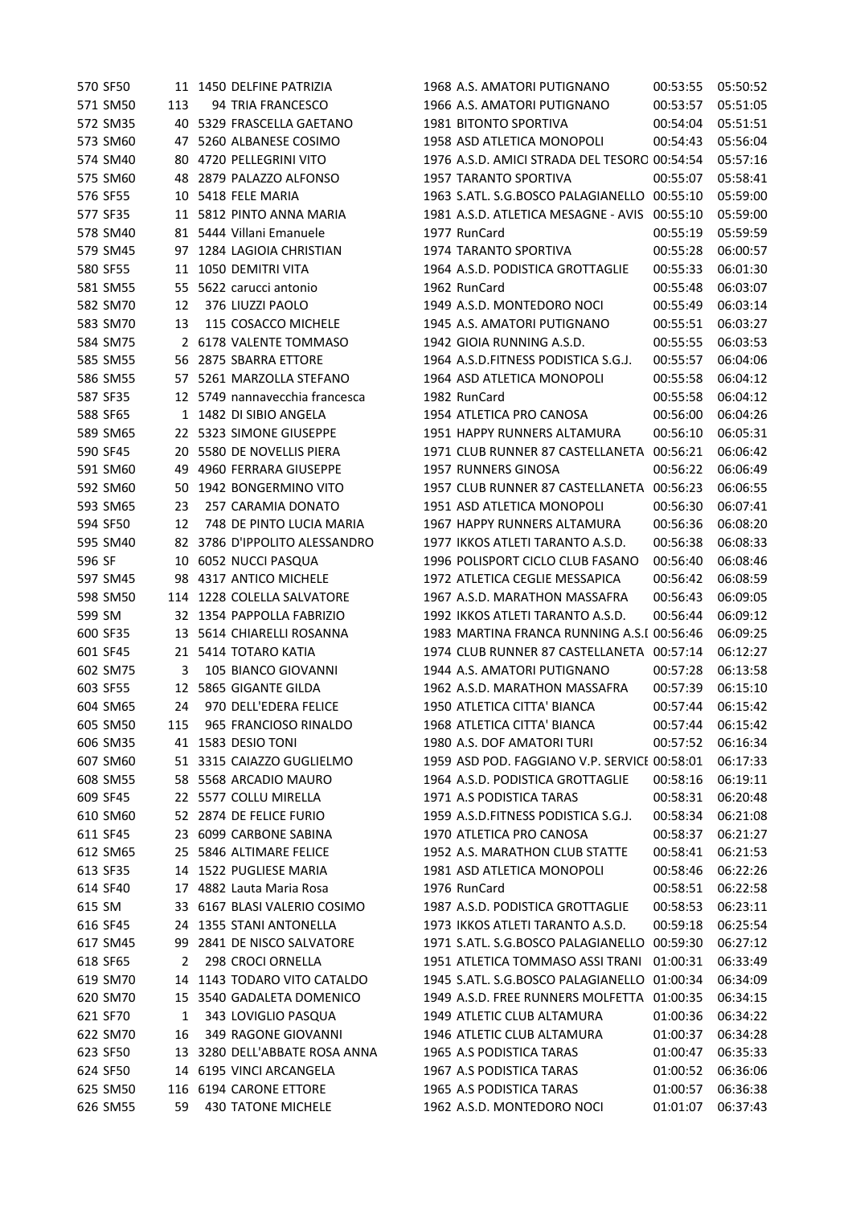|        | 570 SF50 |     | 11 1450 DELFINE PATRIZIA                         | 1968 A.S. AMATORI PUTIGNANO                  | 00:53:55          | 05:50:52 |
|--------|----------|-----|--------------------------------------------------|----------------------------------------------|-------------------|----------|
|        | 571 SM50 | 113 | 94 TRIA FRANCESCO                                | 1966 A.S. AMATORI PUTIGNANO                  | 00:53:57          | 05:51:05 |
|        | 572 SM35 | 40  | 5329 FRASCELLA GAETANO                           | <b>1981 BITONTO SPORTIVA</b>                 | 00:54:04          | 05:51:51 |
|        | 573 SM60 |     | 47 5260 ALBANESE COSIMO                          | 1958 ASD ATLETICA MONOPOLI                   | 00:54:43          | 05:56:04 |
|        | 574 SM40 | 80  | 4720 PELLEGRINI VITO                             | 1976 A.S.D. AMICI STRADA DEL TESORO 00:54:54 |                   | 05:57:16 |
|        | 575 SM60 |     | 48 2879 PALAZZO ALFONSO                          | <b>1957 TARANTO SPORTIVA</b>                 | 00:55:07          | 05:58:41 |
|        | 576 SF55 | 10  | 5418 FELE MARIA                                  | 1963 S.ATL. S.G.BOSCO PALAGIANELLO 00:55:10  |                   | 05:59:00 |
|        | 577 SF35 |     | 11 5812 PINTO ANNA MARIA                         | 1981 A.S.D. ATLETICA MESAGNE - AVIS 00:55:10 |                   | 05:59:00 |
|        | 578 SM40 |     | 81 5444 Villani Emanuele                         | 1977 RunCard                                 | 00:55:19          | 05:59:59 |
|        | 579 SM45 |     | 97 1284 LAGIOIA CHRISTIAN                        | 1974 TARANTO SPORTIVA                        | 00:55:28          | 06:00:57 |
|        | 580 SF55 |     | 11 1050 DEMITRI VITA                             | 1964 A.S.D. PODISTICA GROTTAGLIE             | 00:55:33          | 06:01:30 |
|        | 581 SM55 | 55  | 5622 carucci antonio                             | 1962 RunCard                                 | 00:55:48          | 06:03:07 |
|        | 582 SM70 | 12  | 376 LIUZZI PAOLO                                 | 1949 A.S.D. MONTEDORO NOCI                   | 00:55:49          | 06:03:14 |
|        | 583 SM70 | 13  | 115 COSACCO MICHELE                              | 1945 A.S. AMATORI PUTIGNANO                  | 00:55:51          | 06:03:27 |
|        | 584 SM75 |     | 2 6178 VALENTE TOMMASO                           | 1942 GIOIA RUNNING A.S.D.                    | 00:55:55          | 06:03:53 |
|        | 585 SM55 | 56  | 2875 SBARRA ETTORE                               | 1964 A.S.D.FITNESS PODISTICA S.G.J.          | 00:55:57          | 06:04:06 |
|        | 586 SM55 | 57  | 5261 MARZOLLA STEFANO                            | 1964 ASD ATLETICA MONOPOLI                   | 00:55:58          | 06:04:12 |
|        | 587 SF35 |     | 12 5749 nannavecchia francesca                   | 1982 RunCard                                 | 00:55:58          | 06:04:12 |
|        | 588 SF65 |     | 1 1482 DI SIBIO ANGELA                           | 1954 ATLETICA PRO CANOSA                     | 00:56:00          | 06:04:26 |
|        | 589 SM65 |     | 22 5323 SIMONE GIUSEPPE                          | 1951 HAPPY RUNNERS ALTAMURA                  | 00:56:10          | 06:05:31 |
|        |          |     | 5580 DE NOVELLIS PIERA                           | 1971 CLUB RUNNER 87 CASTELLANETA 00:56:21    |                   |          |
|        | 590 SF45 | 20  |                                                  | <b>1957 RUNNERS GINOSA</b>                   |                   | 06:06:42 |
|        | 591 SM60 | 49  | 4960 FERRARA GIUSEPPE<br>50 1942 BONGERMINO VITO |                                              | 00:56:22          | 06:06:49 |
|        | 592 SM60 |     |                                                  | 1957 CLUB RUNNER 87 CASTELLANETA 00:56:23    |                   | 06:06:55 |
|        | 593 SM65 | 23  | 257 CARAMIA DONATO                               | 1951 ASD ATLETICA MONOPOLI                   | 00:56:30          | 06:07:41 |
|        | 594 SF50 | 12  | 748 DE PINTO LUCIA MARIA                         | 1967 HAPPY RUNNERS ALTAMURA                  | 00:56:36          | 06:08:20 |
|        | 595 SM40 |     | 82 3786 D'IPPOLITO ALESSANDRO                    | 1977 IKKOS ATLETI TARANTO A.S.D.             | 00:56:38          | 06:08:33 |
| 596 SF |          | 10  | 6052 NUCCI PASQUA                                | 1996 POLISPORT CICLO CLUB FASANO             | 00:56:40          | 06:08:46 |
|        | 597 SM45 |     | 98 4317 ANTICO MICHELE                           | 1972 ATLETICA CEGLIE MESSAPICA               | 00:56:42          | 06:08:59 |
|        | 598 SM50 | 114 | 1228 COLELLA SALVATORE                           | 1967 A.S.D. MARATHON MASSAFRA                | 00:56:43          | 06:09:05 |
| 599 SM |          |     | 32 1354 PAPPOLLA FABRIZIO                        | 1992 IKKOS ATLETI TARANTO A.S.D.             | 00:56:44          | 06:09:12 |
|        | 600 SF35 | 13  | 5614 CHIARELLI ROSANNA                           | 1983 MARTINA FRANCA RUNNING A.S.I 00:56:46   |                   | 06:09:25 |
|        | 601 SF45 |     | 21 5414 TOTARO KATIA                             | 1974 CLUB RUNNER 87 CASTELLANETA 00:57:14    |                   | 06:12:27 |
|        | 602 SM75 | 3   | 105 BIANCO GIOVANNI                              | 1944 A.S. AMATORI PUTIGNANO                  | 00:57:28          | 06:13:58 |
|        | 603 SF55 | 12  | 5865 GIGANTE GILDA                               | 1962 A.S.D. MARATHON MASSAFRA                | 00:57:39          | 06:15:10 |
|        | 604 SM65 | 24  | 970 DELL'EDERA FELICE                            | 1950 ATLETICA CITTA' BIANCA                  | 00:57:44          | 06:15:42 |
|        | 605 SM50 |     | 115 965 FRANCIOSO RINALDO                        | 1968 ATLETICA CITTA' BIANCA                  | 00:57:44 06:15:42 |          |
|        | 606 SM35 |     | 41 1583 DESIO TONI                               | 1980 A.S. DOF AMATORI TURI                   | 00:57:52          | 06:16:34 |
|        | 607 SM60 |     | 51 3315 CAIAZZO GUGLIELMO                        | 1959 ASD POD. FAGGIANO V.P. SERVICE 00:58:01 |                   | 06:17:33 |
|        | 608 SM55 | 58  | 5568 ARCADIO MAURO                               | 1964 A.S.D. PODISTICA GROTTAGLIE             | 00:58:16          | 06:19:11 |
|        | 609 SF45 |     | 22 5577 COLLU MIRELLA                            | 1971 A.S PODISTICA TARAS                     | 00:58:31          | 06:20:48 |
|        | 610 SM60 |     | 52 2874 DE FELICE FURIO                          | 1959 A.S.D.FITNESS PODISTICA S.G.J.          | 00:58:34          | 06:21:08 |
|        | 611 SF45 |     | 23 6099 CARBONE SABINA                           | 1970 ATLETICA PRO CANOSA                     | 00:58:37          | 06:21:27 |
|        | 612 SM65 | 25  | 5846 ALTIMARE FELICE                             | 1952 A.S. MARATHON CLUB STATTE               | 00:58:41          | 06:21:53 |
|        | 613 SF35 |     | 14 1522 PUGLIESE MARIA                           | 1981 ASD ATLETICA MONOPOLI                   | 00:58:46          | 06:22:26 |
|        | 614 SF40 |     | 17 4882 Lauta Maria Rosa                         | 1976 RunCard                                 | 00:58:51          | 06:22:58 |
| 615 SM |          |     | 33 6167 BLASI VALERIO COSIMO                     | 1987 A.S.D. PODISTICA GROTTAGLIE             | 00:58:53          | 06:23:11 |
|        | 616 SF45 |     | 24 1355 STANI ANTONELLA                          | 1973 IKKOS ATLETI TARANTO A.S.D.             | 00:59:18          | 06:25:54 |
|        | 617 SM45 |     | 99 2841 DE NISCO SALVATORE                       | 1971 S.ATL. S.G.BOSCO PALAGIANELLO 00:59:30  |                   | 06:27:12 |
|        | 618 SF65 | 2   | 298 CROCI ORNELLA                                | 1951 ATLETICA TOMMASO ASSI TRANI 01:00:31    |                   | 06:33:49 |
|        | 619 SM70 | 14  | 1143 TODARO VITO CATALDO                         | 1945 S.ATL. S.G.BOSCO PALAGIANELLO 01:00:34  |                   | 06:34:09 |
|        | 620 SM70 | 15  | 3540 GADALETA DOMENICO                           | 1949 A.S.D. FREE RUNNERS MOLFETTA 01:00:35   |                   | 06:34:15 |
|        | 621 SF70 | 1   | 343 LOVIGLIO PASQUA                              | 1949 ATLETIC CLUB ALTAMURA                   | 01:00:36          | 06:34:22 |
|        | 622 SM70 | 16  | 349 RAGONE GIOVANNI                              | 1946 ATLETIC CLUB ALTAMURA                   | 01:00:37          | 06:34:28 |
|        | 623 SF50 | 13  | 3280 DELL'ABBATE ROSA ANNA                       | 1965 A.S PODISTICA TARAS                     | 01:00:47          | 06:35:33 |
|        | 624 SF50 | 14  | 6195 VINCI ARCANGELA                             | 1967 A.S PODISTICA TARAS                     | 01:00:52          | 06:36:06 |
|        | 625 SM50 | 116 | <b>6194 CARONE ETTORE</b>                        | 1965 A.S PODISTICA TARAS                     | 01:00:57          | 06:36:38 |
|        | 626 SM55 | 59  | 430 TATONE MICHELE                               | 1962 A.S.D. MONTEDORO NOCI                   | 01:01:07          | 06:37:43 |
|        |          |     |                                                  |                                              |                   |          |